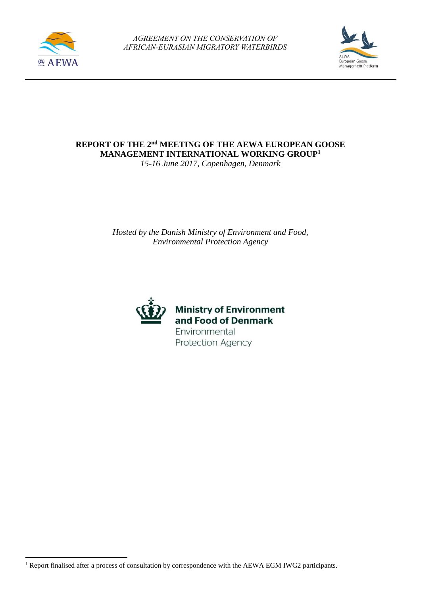

**.** 



**REPORT OF THE 2 nd MEETING OF THE AEWA EUROPEAN GOOSE MANAGEMENT INTERNATIONAL WORKING GROUP<sup>1</sup>**

*15-16 June 2017, Copenhagen, Denmark*

*Hosted by the Danish Ministry of Environment and Food, Environmental Protection Agency*



**Ministry of Environment** and Food of Denmark Environmental Protection Agency

<sup>&</sup>lt;sup>1</sup> Report finalised after a process of consultation by correspondence with the AEWA EGM IWG2 participants.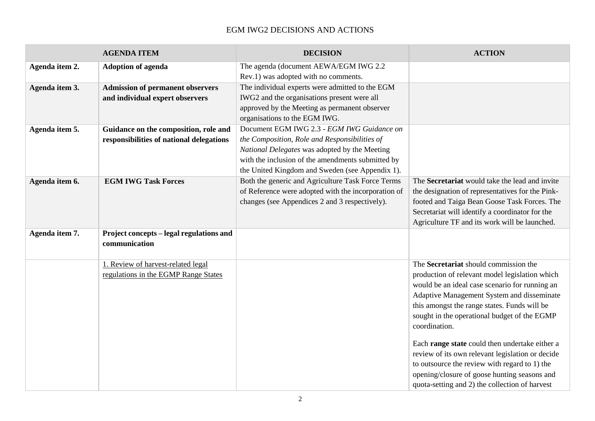# EGM IWG2 DECISIONS AND ACTIONS

|                | <b>AGENDA ITEM</b>                                        | <b>DECISION</b>                                     | <b>ACTION</b>                                    |
|----------------|-----------------------------------------------------------|-----------------------------------------------------|--------------------------------------------------|
| Agenda item 2. | <b>Adoption of agenda</b>                                 | The agenda (document AEWA/EGM IWG 2.2               |                                                  |
|                |                                                           | Rev.1) was adopted with no comments.                |                                                  |
| Agenda item 3. | <b>Admission of permanent observers</b>                   | The individual experts were admitted to the EGM     |                                                  |
|                | and individual expert observers                           | IWG2 and the organisations present were all         |                                                  |
|                |                                                           | approved by the Meeting as permanent observer       |                                                  |
|                |                                                           | organisations to the EGM IWG.                       |                                                  |
| Agenda item 5. | Guidance on the composition, role and                     | Document EGM IWG 2.3 - EGM IWG Guidance on          |                                                  |
|                | responsibilities of national delegations                  | the Composition, Role and Responsibilities of       |                                                  |
|                |                                                           | National Delegates was adopted by the Meeting       |                                                  |
|                |                                                           | with the inclusion of the amendments submitted by   |                                                  |
|                |                                                           | the United Kingdom and Sweden (see Appendix 1).     |                                                  |
| Agenda item 6. | <b>EGM IWG Task Forces</b>                                | Both the generic and Agriculture Task Force Terms   | The Secretariat would take the lead and invite   |
|                |                                                           | of Reference were adopted with the incorporation of | the designation of representatives for the Pink- |
|                |                                                           | changes (see Appendices 2 and 3 respectively).      | footed and Taiga Bean Goose Task Forces. The     |
|                |                                                           |                                                     | Secretariat will identify a coordinator for the  |
|                |                                                           |                                                     | Agriculture TF and its work will be launched.    |
| Agenda item 7. | Project concepts - legal regulations and<br>communication |                                                     |                                                  |
|                |                                                           |                                                     |                                                  |
|                | 1. Review of harvest-related legal                        |                                                     | The Secretariat should commission the            |
|                | regulations in the EGMP Range States                      |                                                     | production of relevant model legislation which   |
|                |                                                           |                                                     | would be an ideal case scenario for running an   |
|                |                                                           |                                                     | Adaptive Management System and disseminate       |
|                |                                                           |                                                     | this amongst the range states. Funds will be     |
|                |                                                           |                                                     | sought in the operational budget of the EGMP     |
|                |                                                           |                                                     | coordination.                                    |
|                |                                                           |                                                     | Each range state could then undertake either a   |
|                |                                                           |                                                     | review of its own relevant legislation or decide |
|                |                                                           |                                                     | to outsource the review with regard to 1) the    |
|                |                                                           |                                                     | opening/closure of goose hunting seasons and     |
|                |                                                           |                                                     | quota-setting and 2) the collection of harvest   |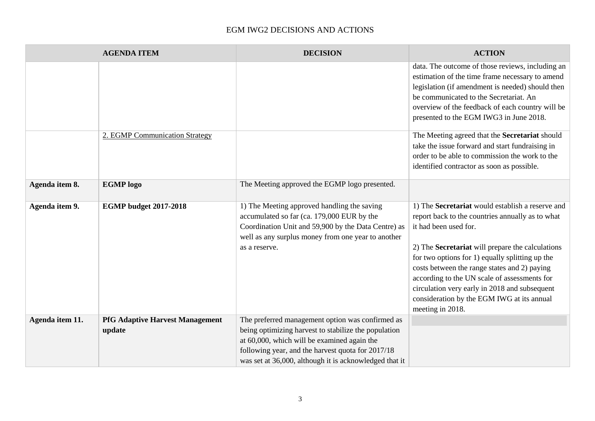# EGM IWG2 DECISIONS AND ACTIONS

|                 | <b>AGENDA ITEM</b>                               | <b>DECISION</b>                                                                                                                                                                                                                                                        | <b>ACTION</b>                                                                                                                                                                                                                                                                                                                                                                                                                                           |
|-----------------|--------------------------------------------------|------------------------------------------------------------------------------------------------------------------------------------------------------------------------------------------------------------------------------------------------------------------------|---------------------------------------------------------------------------------------------------------------------------------------------------------------------------------------------------------------------------------------------------------------------------------------------------------------------------------------------------------------------------------------------------------------------------------------------------------|
|                 |                                                  |                                                                                                                                                                                                                                                                        | data. The outcome of those reviews, including an<br>estimation of the time frame necessary to amend<br>legislation (if amendment is needed) should then<br>be communicated to the Secretariat. An<br>overview of the feedback of each country will be<br>presented to the EGM IWG3 in June 2018.                                                                                                                                                        |
|                 | 2. EGMP Communication Strategy                   |                                                                                                                                                                                                                                                                        | The Meeting agreed that the Secretariat should<br>take the issue forward and start fundraising in<br>order to be able to commission the work to the<br>identified contractor as soon as possible.                                                                                                                                                                                                                                                       |
| Agenda item 8.  | <b>EGMP</b> logo                                 | The Meeting approved the EGMP logo presented.                                                                                                                                                                                                                          |                                                                                                                                                                                                                                                                                                                                                                                                                                                         |
| Agenda item 9.  | <b>EGMP</b> budget 2017-2018                     | 1) The Meeting approved handling the saving<br>accumulated so far (ca. 179,000 EUR by the<br>Coordination Unit and 59,900 by the Data Centre) as<br>well as any surplus money from one year to another<br>as a reserve.                                                | 1) The Secretariat would establish a reserve and<br>report back to the countries annually as to what<br>it had been used for.<br>2) The Secretariat will prepare the calculations<br>for two options for 1) equally splitting up the<br>costs between the range states and 2) paying<br>according to the UN scale of assessments for<br>circulation very early in 2018 and subsequent<br>consideration by the EGM IWG at its annual<br>meeting in 2018. |
| Agenda item 11. | <b>PfG Adaptive Harvest Management</b><br>update | The preferred management option was confirmed as<br>being optimizing harvest to stabilize the population<br>at 60,000, which will be examined again the<br>following year, and the harvest quota for 2017/18<br>was set at 36,000, although it is acknowledged that it |                                                                                                                                                                                                                                                                                                                                                                                                                                                         |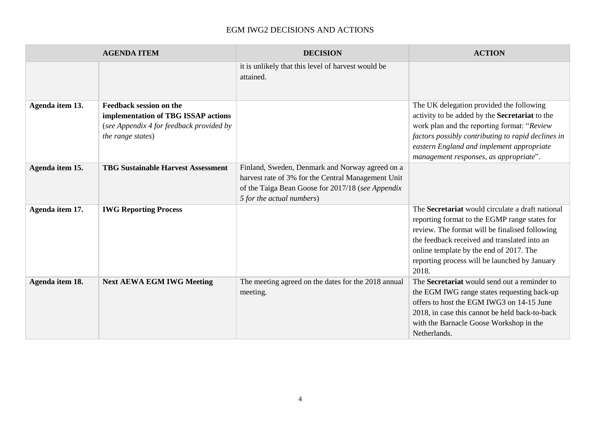# EGM IWG2 DECISIONS AND ACTIONS

|                 | <b>AGENDA ITEM</b>                                                                                                                     | <b>DECISION</b>                                                                                                                                                                         | <b>ACTION</b>                                                                                                                                                                                                                                                                                            |
|-----------------|----------------------------------------------------------------------------------------------------------------------------------------|-----------------------------------------------------------------------------------------------------------------------------------------------------------------------------------------|----------------------------------------------------------------------------------------------------------------------------------------------------------------------------------------------------------------------------------------------------------------------------------------------------------|
|                 |                                                                                                                                        | it is unlikely that this level of harvest would be<br>attained.                                                                                                                         |                                                                                                                                                                                                                                                                                                          |
| Agenda item 13. | <b>Feedback session on the</b><br>implementation of TBG ISSAP actions<br>(see Appendix 4 for feedback provided by<br>the range states) |                                                                                                                                                                                         | The UK delegation provided the following<br>activity to be added by the Secretariat to the<br>work plan and the reporting format: "Review<br>factors possibly contributing to rapid declines in<br>eastern England and implement appropriate<br>management responses, as appropriate".                   |
| Agenda item 15. | <b>TBG Sustainable Harvest Assessment</b>                                                                                              | Finland, Sweden, Denmark and Norway agreed on a<br>harvest rate of 3% for the Central Management Unit<br>of the Taiga Bean Goose for 2017/18 (see Appendix<br>5 for the actual numbers) |                                                                                                                                                                                                                                                                                                          |
| Agenda item 17. | <b>IWG Reporting Process</b>                                                                                                           |                                                                                                                                                                                         | The Secretariat would circulate a draft national<br>reporting format to the EGMP range states for<br>review. The format will be finalised following<br>the feedback received and translated into an<br>online template by the end of 2017. The<br>reporting process will be launched by January<br>2018. |
| Agenda item 18. | <b>Next AEWA EGM IWG Meeting</b>                                                                                                       | The meeting agreed on the dates for the 2018 annual<br>meeting.                                                                                                                         | The Secretariat would send out a reminder to<br>the EGM IWG range states requesting back-up<br>offers to host the EGM IWG3 on 14-15 June<br>2018, in case this cannot be held back-to-back<br>with the Barnacle Goose Workshop in the<br>Netherlands.                                                    |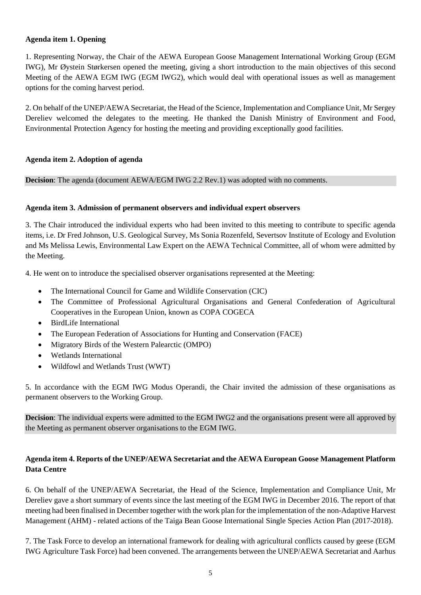### **Agenda item 1. Opening**

1. Representing Norway, the Chair of the AEWA European Goose Management International Working Group (EGM IWG), Mr Øystein Størkersen opened the meeting, giving a short introduction to the main objectives of this second Meeting of the AEWA EGM IWG (EGM IWG2), which would deal with operational issues as well as management options for the coming harvest period.

2. On behalf of the UNEP/AEWA Secretariat, the Head of the Science, Implementation and Compliance Unit, Mr Sergey Dereliev welcomed the delegates to the meeting. He thanked the Danish Ministry of Environment and Food, Environmental Protection Agency for hosting the meeting and providing exceptionally good facilities.

### **Agenda item 2. Adoption of agenda**

**Decision**: The agenda (document AEWA/EGM IWG 2.2 Rev.1) was adopted with no comments.

### **Agenda item 3. Admission of permanent observers and individual expert observers**

3. The Chair introduced the individual experts who had been invited to this meeting to contribute to specific agenda items, i.e. Dr Fred Johnson, U.S. Geological Survey, Ms Sonia Rozenfeld, Severtsov Institute of Ecology and Evolution and Ms Melissa Lewis, Environmental Law Expert on the AEWA Technical Committee, all of whom were admitted by the Meeting.

4. He went on to introduce the specialised observer organisations represented at the Meeting:

- The International Council for Game and Wildlife Conservation (CIC)
- The Committee of Professional Agricultural Organisations and General Confederation of Agricultural Cooperatives in the European Union, known as COPA COGECA
- BirdLife International
- The European Federation of Associations for Hunting and Conservation (FACE)
- Migratory Birds of the Western Palearctic (OMPO)
- Wetlands International
- Wildfowl and Wetlands Trust (WWT)

5. In accordance with the EGM IWG Modus Operandi, the Chair invited the admission of these organisations as permanent observers to the Working Group.

**Decision**: The individual experts were admitted to the EGM IWG2 and the organisations present were all approved by the Meeting as permanent observer organisations to the EGM IWG.

# **Agenda item 4. Reports of the UNEP/AEWA Secretariat and the AEWA European Goose Management Platform Data Centre**

6. On behalf of the UNEP/AEWA Secretariat, the Head of the Science, Implementation and Compliance Unit, Mr Dereliev gave a short summary of events since the last meeting of the EGM IWG in December 2016. The report of that meeting had been finalised in December together with the work plan for the implementation of the non-Adaptive Harvest Management (AHM) - related actions of the Taiga Bean Goose International Single Species Action Plan (2017-2018).

7. The Task Force to develop an international framework for dealing with agricultural conflicts caused by geese (EGM IWG Agriculture Task Force) had been convened. The arrangements between the UNEP/AEWA Secretariat and Aarhus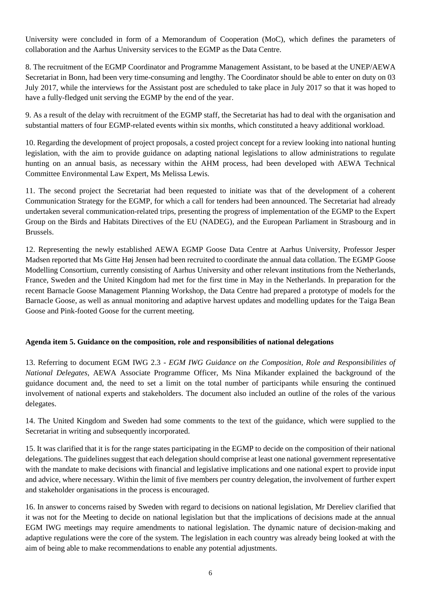University were concluded in form of a Memorandum of Cooperation (MoC), which defines the parameters of collaboration and the Aarhus University services to the EGMP as the Data Centre.

8. The recruitment of the EGMP Coordinator and Programme Management Assistant, to be based at the UNEP/AEWA Secretariat in Bonn, had been very time-consuming and lengthy. The Coordinator should be able to enter on duty on 03 July 2017, while the interviews for the Assistant post are scheduled to take place in July 2017 so that it was hoped to have a fully-fledged unit serving the EGMP by the end of the year.

9. As a result of the delay with recruitment of the EGMP staff, the Secretariat has had to deal with the organisation and substantial matters of four EGMP-related events within six months, which constituted a heavy additional workload.

10. Regarding the development of project proposals, a costed project concept for a review looking into national hunting legislation, with the aim to provide guidance on adapting national legislations to allow administrations to regulate hunting on an annual basis, as necessary within the AHM process, had been developed with AEWA Technical Committee Environmental Law Expert, Ms Melissa Lewis.

11. The second project the Secretariat had been requested to initiate was that of the development of a coherent Communication Strategy for the EGMP, for which a call for tenders had been announced. The Secretariat had already undertaken several communication-related trips, presenting the progress of implementation of the EGMP to the Expert Group on the Birds and Habitats Directives of the EU (NADEG), and the European Parliament in Strasbourg and in Brussels.

12. Representing the newly established AEWA EGMP Goose Data Centre at Aarhus University, Professor Jesper Madsen reported that Ms Gitte Høj Jensen had been recruited to coordinate the annual data collation. The EGMP Goose Modelling Consortium, currently consisting of Aarhus University and other relevant institutions from the Netherlands, France, Sweden and the United Kingdom had met for the first time in May in the Netherlands. In preparation for the recent Barnacle Goose Management Planning Workshop, the Data Centre had prepared a prototype of models for the Barnacle Goose, as well as annual monitoring and adaptive harvest updates and modelling updates for the Taiga Bean Goose and Pink-footed Goose for the current meeting.

### **Agenda item 5. Guidance on the composition, role and responsibilities of national delegations**

13. Referring to document EGM IWG 2.3 - *EGM IWG Guidance on the Composition, Role and Responsibilities of National Delegates*, AEWA Associate Programme Officer, Ms Nina Mikander explained the background of the guidance document and, the need to set a limit on the total number of participants while ensuring the continued involvement of national experts and stakeholders. The document also included an outline of the roles of the various delegates.

14. The United Kingdom and Sweden had some comments to the text of the guidance, which were supplied to the Secretariat in writing and subsequently incorporated.

15. It was clarified that it is for the range states participating in the EGMP to decide on the composition of their national delegations. The guidelines suggest that each delegation should comprise at least one national government representative with the mandate to make decisions with financial and legislative implications and one national expert to provide input and advice, where necessary. Within the limit of five members per country delegation, the involvement of further expert and stakeholder organisations in the process is encouraged.

16. In answer to concerns raised by Sweden with regard to decisions on national legislation, Mr Dereliev clarified that it was not for the Meeting to decide on national legislation but that the implications of decisions made at the annual EGM IWG meetings may require amendments to national legislation. The dynamic nature of decision-making and adaptive regulations were the core of the system. The legislation in each country was already being looked at with the aim of being able to make recommendations to enable any potential adjustments.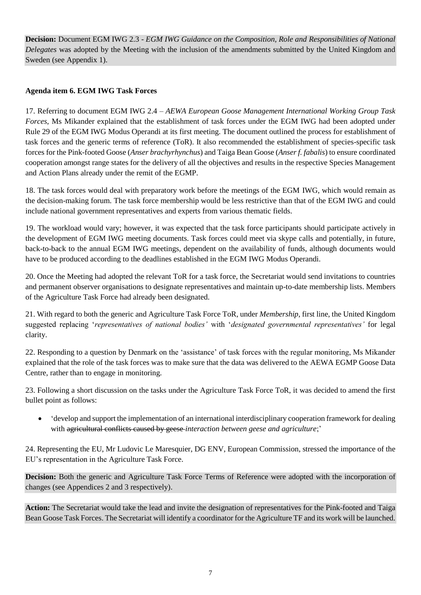**Decision:** Document EGM IWG 2.3 - *EGM IWG Guidance on the Composition, Role and Responsibilities of National Delegates* was adopted by the Meeting with the inclusion of the amendments submitted by the United Kingdom and Sweden (see Appendix 1).

# **Agenda item 6. EGM IWG Task Forces**

17. Referring to document EGM IWG 2.4 – *AEWA European Goose Management International Working Group Task Forces*, Ms Mikander explained that the establishment of task forces under the EGM IWG had been adopted under Rule 29 of the EGM IWG Modus Operandi at its first meeting. The document outlined the process for establishment of task forces and the generic terms of reference (ToR). It also recommended the establishment of species-specific task forces for the Pink-footed Goose (*Anser brachyrhynchus*) and Taiga Bean Goose (*Anser f. fabalis*) to ensure coordinated cooperation amongst range states for the delivery of all the objectives and results in the respective Species Management and Action Plans already under the remit of the EGMP.

18. The task forces would deal with preparatory work before the meetings of the EGM IWG, which would remain as the decision-making forum. The task force membership would be less restrictive than that of the EGM IWG and could include national government representatives and experts from various thematic fields.

19. The workload would vary; however, it was expected that the task force participants should participate actively in the development of EGM IWG meeting documents. Task forces could meet via skype calls and potentially, in future, back-to-back to the annual EGM IWG meetings, dependent on the availability of funds, although documents would have to be produced according to the deadlines established in the EGM IWG Modus Operandi.

20. Once the Meeting had adopted the relevant ToR for a task force, the Secretariat would send invitations to countries and permanent observer organisations to designate representatives and maintain up-to-date membership lists. Members of the Agriculture Task Force had already been designated.

21. With regard to both the generic and Agriculture Task Force ToR, under *Membership*, first line, the United Kingdom suggested replacing '*representatives of national bodies'* with '*designated governmental representatives'* for legal clarity.

22. Responding to a question by Denmark on the 'assistance' of task forces with the regular monitoring, Ms Mikander explained that the role of the task forces was to make sure that the data was delivered to the AEWA EGMP Goose Data Centre, rather than to engage in monitoring.

23. Following a short discussion on the tasks under the Agriculture Task Force ToR, it was decided to amend the first bullet point as follows:

• 'develop and support the implementation of an international interdisciplinary cooperation framework for dealing with agricultural conflicts caused by geese *interaction between geese and agriculture*;'

24. Representing the EU, Mr Ludovic Le Maresquier, DG ENV, European Commission, stressed the importance of the EU's representation in the Agriculture Task Force.

**Decision:** Both the generic and Agriculture Task Force Terms of Reference were adopted with the incorporation of changes (see Appendices 2 and 3 respectively).

**Action:** The Secretariat would take the lead and invite the designation of representatives for the Pink-footed and Taiga Bean Goose Task Forces. The Secretariat will identify a coordinator for the Agriculture TF and its work will be launched.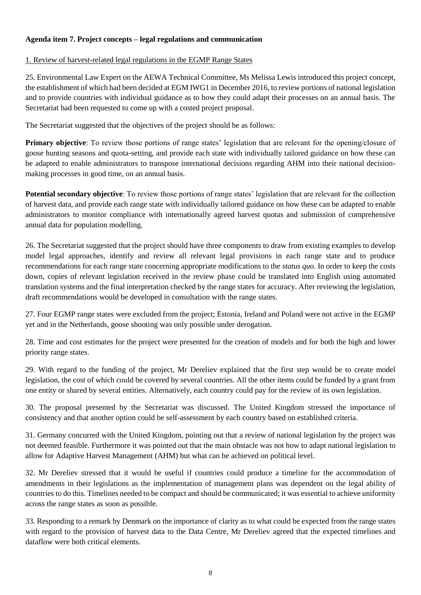# **Agenda item 7. Project concepts – legal regulations and communication**

### 1. Review of harvest-related legal regulations in the EGMP Range States

25. Environmental Law Expert on the AEWA Technical Committee, Ms Melissa Lewis introduced this project concept, the establishment of which had been decided at EGM IWG1 in December 2016, to review portions of national legislation and to provide countries with individual guidance as to how they could adapt their processes on an annual basis. The Secretariat had been requested to come up with a costed project proposal.

The Secretariat suggested that the objectives of the project should be as follows:

**Primary objective**: To review those portions of range states' legislation that are relevant for the opening/closure of goose hunting seasons and quota-setting, and provide each state with individually tailored guidance on how these can be adapted to enable administrators to transpose international decisions regarding AHM into their national decisionmaking processes in good time, on an annual basis.

**Potential secondary objective**: To review those portions of range states' legislation that are relevant for the collection of harvest data, and provide each range state with individually tailored guidance on how these can be adapted to enable administrators to monitor compliance with internationally agreed harvest quotas and submission of comprehensive annual data for population modelling.

26. The Secretariat suggested that the project should have three components to draw from existing examples to develop model legal approaches, identify and review all relevant legal provisions in each range state and to produce recommendations for each range state concerning appropriate modifications to the *status quo*. In order to keep the costs down, copies of relevant legislation received in the review phase could be translated into English using automated translation systems and the final interpretation checked by the range states for accuracy. After reviewing the legislation, draft recommendations would be developed in consultation with the range states.

27. Four EGMP range states were excluded from the project; Estonia, Ireland and Poland were not active in the EGMP yet and in the Netherlands, goose shooting was only possible under derogation.

28. Time and cost estimates for the project were presented for the creation of models and for both the high and lower priority range states.

29. With regard to the funding of the project, Mr Dereliev explained that the first step would be to create model legislation, the cost of which could be covered by several countries. All the other items could be funded by a grant from one entity or shared by several entities. Alternatively, each country could pay for the review of its own legislation.

30. The proposal presented by the Secretariat was discussed. The United Kingdom stressed the importance of consistency and that another option could be self-assessment by each country based on established criteria.

31. Germany concurred with the United Kingdom, pointing out that a review of national legislation by the project was not deemed feasible. Furthermore it was pointed out that the main obstacle was not how to adapt national legislation to allow for Adaptive Harvest Management (AHM) but what can be achieved on political level.

32. Mr Dereliev stressed that it would be useful if countries could produce a timeline for the accommodation of amendments in their legislations as the implementation of management plans was dependent on the legal ability of countries to do this. Timelines needed to be compact and should be communicated; it was essential to achieve uniformity across the range states as soon as possible.

33. Responding to a remark by Denmark on the importance of clarity as to what could be expected from the range states with regard to the provision of harvest data to the Data Centre, Mr Dereliev agreed that the expected timelines and dataflow were both critical elements.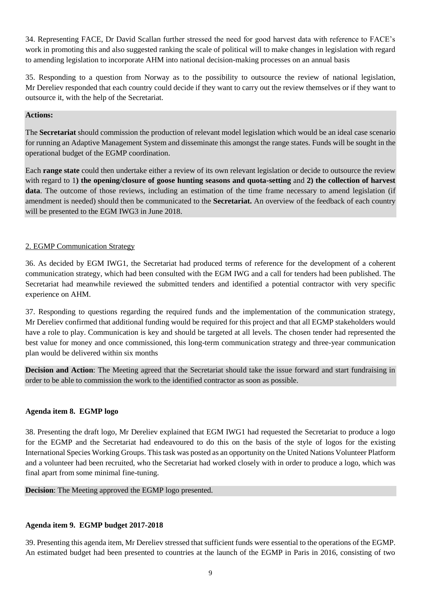34. Representing FACE, Dr David Scallan further stressed the need for good harvest data with reference to FACE's work in promoting this and also suggested ranking the scale of political will to make changes in legislation with regard to amending legislation to incorporate AHM into national decision-making processes on an annual basis

35. Responding to a question from Norway as to the possibility to outsource the review of national legislation, Mr Dereliev responded that each country could decide if they want to carry out the review themselves or if they want to outsource it, with the help of the Secretariat.

### **Actions:**

The **Secretariat** should commission the production of relevant model legislation which would be an ideal case scenario for running an Adaptive Management System and disseminate this amongst the range states. Funds will be sought in the operational budget of the EGMP coordination.

Each **range state** could then undertake either a review of its own relevant legislation or decide to outsource the review with regard to 1**) the opening/closure of goose hunting seasons and quota-setting** and **2) the collection of harvest data**. The outcome of those reviews, including an estimation of the time frame necessary to amend legislation (if amendment is needed) should then be communicated to the **Secretariat.** An overview of the feedback of each country will be presented to the EGM IWG3 in June 2018.

# 2. EGMP Communication Strategy

36. As decided by EGM IWG1, the Secretariat had produced terms of reference for the development of a coherent communication strategy, which had been consulted with the EGM IWG and a call for tenders had been published. The Secretariat had meanwhile reviewed the submitted tenders and identified a potential contractor with very specific experience on AHM.

37. Responding to questions regarding the required funds and the implementation of the communication strategy, Mr Dereliev confirmed that additional funding would be required for this project and that all EGMP stakeholders would have a role to play. Communication is key and should be targeted at all levels. The chosen tender had represented the best value for money and once commissioned, this long-term communication strategy and three-year communication plan would be delivered within six months

**Decision and Action**: The Meeting agreed that the Secretariat should take the issue forward and start fundraising in order to be able to commission the work to the identified contractor as soon as possible.

### **Agenda item 8. EGMP logo**

38. Presenting the draft logo, Mr Dereliev explained that EGM IWG1 had requested the Secretariat to produce a logo for the EGMP and the Secretariat had endeavoured to do this on the basis of the style of logos for the existing International Species Working Groups. This task was posted as an opportunity on the United Nations Volunteer Platform and a volunteer had been recruited, who the Secretariat had worked closely with in order to produce a logo, which was final apart from some minimal fine-tuning.

### **Decision**: The Meeting approved the EGMP logo presented.

### **Agenda item 9. EGMP budget 2017-2018**

39. Presenting this agenda item, Mr Dereliev stressed that sufficient funds were essential to the operations of the EGMP. An estimated budget had been presented to countries at the launch of the EGMP in Paris in 2016, consisting of two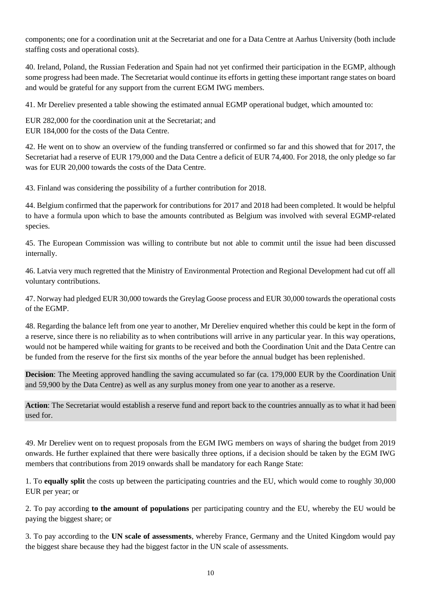components; one for a coordination unit at the Secretariat and one for a Data Centre at Aarhus University (both include staffing costs and operational costs).

40. Ireland, Poland, the Russian Federation and Spain had not yet confirmed their participation in the EGMP, although some progress had been made. The Secretariat would continue its efforts in getting these important range states on board and would be grateful for any support from the current EGM IWG members.

41. Mr Dereliev presented a table showing the estimated annual EGMP operational budget, which amounted to:

EUR 282,000 for the coordination unit at the Secretariat; and EUR 184,000 for the costs of the Data Centre.

42. He went on to show an overview of the funding transferred or confirmed so far and this showed that for 2017, the Secretariat had a reserve of EUR 179,000 and the Data Centre a deficit of EUR 74,400. For 2018, the only pledge so far was for EUR 20,000 towards the costs of the Data Centre.

43. Finland was considering the possibility of a further contribution for 2018.

44. Belgium confirmed that the paperwork for contributions for 2017 and 2018 had been completed. It would be helpful to have a formula upon which to base the amounts contributed as Belgium was involved with several EGMP-related species.

45. The European Commission was willing to contribute but not able to commit until the issue had been discussed internally.

46. Latvia very much regretted that the Ministry of Environmental Protection and Regional Development had cut off all voluntary contributions.

47. Norway had pledged EUR 30,000 towards the Greylag Goose process and EUR 30,000 towards the operational costs of the EGMP.

48. Regarding the balance left from one year to another, Mr Dereliev enquired whether this could be kept in the form of a reserve, since there is no reliability as to when contributions will arrive in any particular year. In this way operations, would not be hampered while waiting for grants to be received and both the Coordination Unit and the Data Centre can be funded from the reserve for the first six months of the year before the annual budget has been replenished.

**Decision**: The Meeting approved handling the saving accumulated so far (ca. 179,000 EUR by the Coordination Unit and 59,900 by the Data Centre) as well as any surplus money from one year to another as a reserve.

**Action**: The Secretariat would establish a reserve fund and report back to the countries annually as to what it had been used for.

49. Mr Dereliev went on to request proposals from the EGM IWG members on ways of sharing the budget from 2019 onwards. He further explained that there were basically three options, if a decision should be taken by the EGM IWG members that contributions from 2019 onwards shall be mandatory for each Range State:

1. To **equally split** the costs up between the participating countries and the EU, which would come to roughly 30,000 EUR per year; or

2. To pay according **to the amount of populations** per participating country and the EU, whereby the EU would be paying the biggest share; or

3. To pay according to the **UN scale of assessments**, whereby France, Germany and the United Kingdom would pay the biggest share because they had the biggest factor in the UN scale of assessments.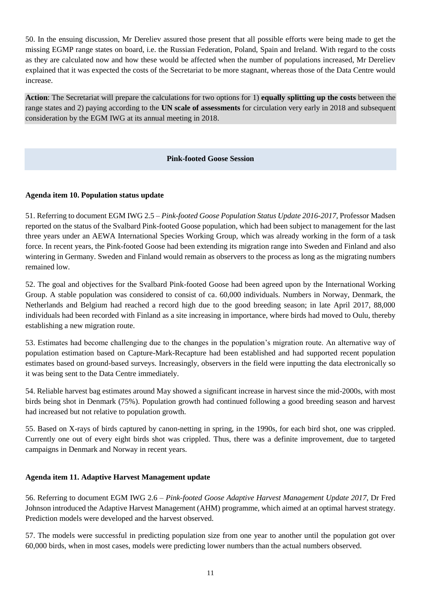50. In the ensuing discussion, Mr Dereliev assured those present that all possible efforts were being made to get the missing EGMP range states on board, i.e. the Russian Federation, Poland, Spain and Ireland. With regard to the costs as they are calculated now and how these would be affected when the number of populations increased, Mr Dereliev explained that it was expected the costs of the Secretariat to be more stagnant, whereas those of the Data Centre would increase.

**Action**: The Secretariat will prepare the calculations for two options for 1) **equally splitting up the costs** between the range states and 2) paying according to the **UN scale of assessments** for circulation very early in 2018 and subsequent consideration by the EGM IWG at its annual meeting in 2018.

### **Pink-footed Goose Session**

### **Agenda item 10. Population status update**

51. Referring to document EGM IWG 2.5 *– Pink-footed Goose Population Status Update 2016-2017*, Professor Madsen reported on the status of the Svalbard Pink-footed Goose population, which had been subject to management for the last three years under an AEWA International Species Working Group, which was already working in the form of a task force. In recent years, the Pink-footed Goose had been extending its migration range into Sweden and Finland and also wintering in Germany. Sweden and Finland would remain as observers to the process as long as the migrating numbers remained low.

52. The goal and objectives for the Svalbard Pink-footed Goose had been agreed upon by the International Working Group. A stable population was considered to consist of ca. 60,000 individuals. Numbers in Norway, Denmark, the Netherlands and Belgium had reached a record high due to the good breeding season; in late April 2017, 88,000 individuals had been recorded with Finland as a site increasing in importance, where birds had moved to Oulu, thereby establishing a new migration route.

53. Estimates had become challenging due to the changes in the population's migration route. An alternative way of population estimation based on Capture-Mark-Recapture had been established and had supported recent population estimates based on ground-based surveys. Increasingly, observers in the field were inputting the data electronically so it was being sent to the Data Centre immediately.

54. Reliable harvest bag estimates around May showed a significant increase in harvest since the mid-2000s, with most birds being shot in Denmark (75%). Population growth had continued following a good breeding season and harvest had increased but not relative to population growth.

55. Based on X-rays of birds captured by canon-netting in spring, in the 1990s, for each bird shot, one was crippled. Currently one out of every eight birds shot was crippled. Thus, there was a definite improvement, due to targeted campaigns in Denmark and Norway in recent years.

### **Agenda item 11. Adaptive Harvest Management update**

56. Referring to document EGM IWG 2.6 – *Pink-footed Goose Adaptive Harvest Management Update 2017*, Dr Fred Johnson introduced the Adaptive Harvest Management (AHM) programme, which aimed at an optimal harvest strategy. Prediction models were developed and the harvest observed.

57. The models were successful in predicting population size from one year to another until the population got over 60,000 birds, when in most cases, models were predicting lower numbers than the actual numbers observed.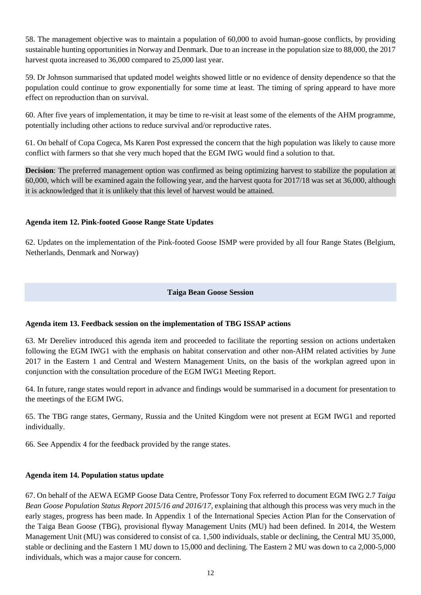58. The management objective was to maintain a population of 60,000 to avoid human-goose conflicts, by providing sustainable hunting opportunities in Norway and Denmark. Due to an increase in the population size to 88,000, the 2017 harvest quota increased to 36,000 compared to 25,000 last year.

59. Dr Johnson summarised that updated model weights showed little or no evidence of density dependence so that the population could continue to grow exponentially for some time at least. The timing of spring appeard to have more effect on reproduction than on survival.

60. After five years of implementation, it may be time to re-visit at least some of the elements of the AHM programme, potentially including other actions to reduce survival and/or reproductive rates.

61. On behalf of Copa Cogeca, Ms Karen Post expressed the concern that the high population was likely to cause more conflict with farmers so that she very much hoped that the EGM IWG would find a solution to that.

**Decision**: The preferred management option was confirmed as being optimizing harvest to stabilize the population at 60,000, which will be examined again the following year, and the harvest quota for 2017/18 was set at 36,000, although it is acknowledged that it is unlikely that this level of harvest would be attained.

### **Agenda item 12. Pink-footed Goose Range State Updates**

62. Updates on the implementation of the Pink-footed Goose ISMP were provided by all four Range States (Belgium, Netherlands, Denmark and Norway)

### **Taiga Bean Goose Session**

### **Agenda item 13. Feedback session on the implementation of TBG ISSAP actions**

63. Mr Dereliev introduced this agenda item and proceeded to facilitate the reporting session on actions undertaken following the EGM IWG1 with the emphasis on habitat conservation and other non-AHM related activities by June 2017 in the Eastern 1 and Central and Western Management Units, on the basis of the workplan agreed upon in conjunction with the consultation procedure of the EGM IWG1 Meeting Report.

64. In future, range states would report in advance and findings would be summarised in a document for presentation to the meetings of the EGM IWG.

65. The TBG range states, Germany, Russia and the United Kingdom were not present at EGM IWG1 and reported individually.

66. See Appendix 4 for the feedback provided by the range states.

### **Agenda item 14. Population status update**

67. On behalf of the AEWA EGMP Goose Data Centre, Professor Tony Fox referred to document EGM IWG 2.7 *Taiga Bean Goose Population Status Report 2015/16 and 2016/17, explaining that although this process was very much in the* early stages, progress has been made. In Appendix 1 of the International Species Action Plan for the Conservation of the Taiga Bean Goose (TBG), provisional flyway Management Units (MU) had been defined. In 2014, the Western Management Unit (MU) was considered to consist of ca. 1,500 individuals, stable or declining, the Central MU 35,000, stable or declining and the Eastern 1 MU down to 15,000 and declining. The Eastern 2 MU was down to ca 2,000-5,000 individuals, which was a major cause for concern.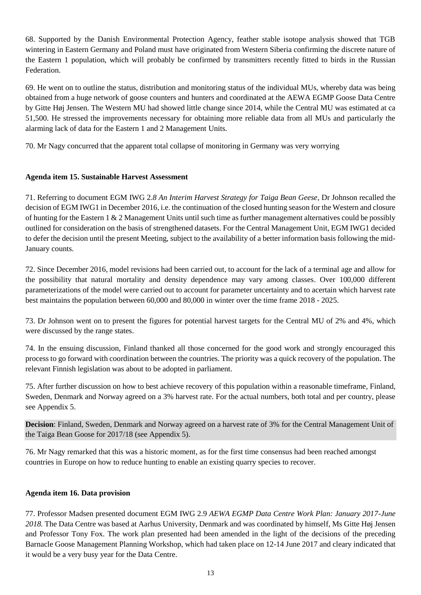68. Supported by the Danish Environmental Protection Agency, feather stable isotope analysis showed that TGB wintering in Eastern Germany and Poland must have originated from Western Siberia confirming the discrete nature of the Eastern 1 population, which will probably be confirmed by transmitters recently fitted to birds in the Russian Federation.

69. He went on to outline the status, distribution and monitoring status of the individual MUs, whereby data was being obtained from a huge network of goose counters and hunters and coordinated at the AEWA EGMP Goose Data Centre by Gitte Høj Jensen. The Western MU had showed little change since 2014, while the Central MU was estimated at ca 51,500. He stressed the improvements necessary for obtaining more reliable data from all MUs and particularly the alarming lack of data for the Eastern 1 and 2 Management Units.

70. Mr Nagy concurred that the apparent total collapse of monitoring in Germany was very worrying

# **Agenda item 15. Sustainable Harvest Assessment**

71. Referring to document EGM IWG 2.*8 An Interim Harvest Strategy for Taiga Bean Geese*, Dr Johnson recalled the decision of EGM IWG1 in December 2016, i.e. the continuation of the closed hunting season for the Western and closure of hunting for the Eastern 1 & 2 Management Units until such time as further management alternatives could be possibly outlined for consideration on the basis of strengthened datasets. For the Central Management Unit, EGM IWG1 decided to defer the decision until the present Meeting, subject to the availability of a better information basis following the mid-January counts.

72. Since December 2016, model revisions had been carried out, to account for the lack of a terminal age and allow for the possibility that natural mortality and density dependence may vary among classes. Over 100,000 different parameterizations of the model were carried out to account for parameter uncertainty and to acertain which harvest rate best maintains the population between 60,000 and 80,000 in winter over the time frame 2018 - 2025.

73. Dr Johnson went on to present the figures for potential harvest targets for the Central MU of 2% and 4%, which were discussed by the range states.

74. In the ensuing discussion, Finland thanked all those concerned for the good work and strongly encouraged this process to go forward with coordination between the countries. The priority was a quick recovery of the population. The relevant Finnish legislation was about to be adopted in parliament.

75. After further discussion on how to best achieve recovery of this population within a reasonable timeframe, Finland, Sweden, Denmark and Norway agreed on a 3% harvest rate. For the actual numbers, both total and per country, please see Appendix 5.

**Decision**: Finland, Sweden, Denmark and Norway agreed on a harvest rate of 3% for the Central Management Unit of the Taiga Bean Goose for 2017/18 (see Appendix 5).

76. Mr Nagy remarked that this was a historic moment, as for the first time consensus had been reached amongst countries in Europe on how to reduce hunting to enable an existing quarry species to recover.

### **Agenda item 16. Data provision**

77. Professor Madsen presented document EGM IWG 2.9 *AEWA EGMP Data Centre Work Plan: January 2017-June 2018.* The Data Centre was based at Aarhus University, Denmark and was coordinated by himself, Ms Gitte Høj Jensen and Professor Tony Fox. The work plan presented had been amended in the light of the decisions of the preceding Barnacle Goose Management Planning Workshop, which had taken place on 12-14 June 2017 and cleary indicated that it would be a very busy year for the Data Centre.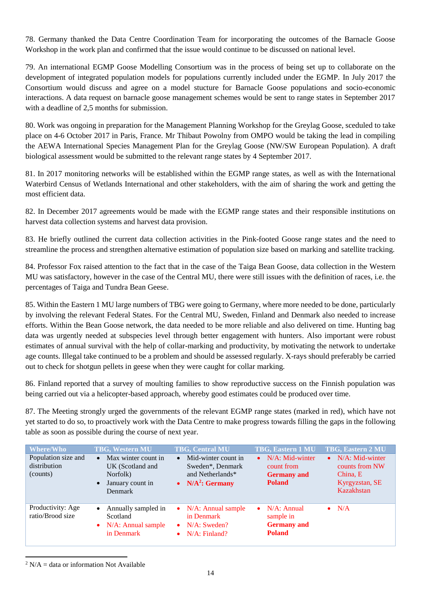78. Germany thanked the Data Centre Coordination Team for incorporating the outcomes of the Barnacle Goose Workshop in the work plan and confirmed that the issue would continue to be discussed on national level.

79. An international EGMP Goose Modelling Consortium was in the process of being set up to collaborate on the development of integrated population models for populations currently included under the EGMP. In July 2017 the Consortium would discuss and agree on a model stucture for Barnacle Goose populations and socio-economic interactions. A data request on barnacle goose management schemes would be sent to range states in September 2017 with a deadline of 2,5 months for submission.

80. Work was ongoing in preparation for the Management Planning Workshop for the Greylag Goose, sceduled to take place on 4-6 October 2017 in Paris, France. Mr Thibaut Powolny from OMPO would be taking the lead in compiling the AEWA International Species Management Plan for the Greylag Goose (NW/SW European Population). A draft biological assessment would be submitted to the relevant range states by 4 September 2017.

81. In 2017 monitoring networks will be established within the EGMP range states, as well as with the International Waterbird Census of Wetlands International and other stakeholders, with the aim of sharing the work and getting the most efficient data.

82. In December 2017 agreements would be made with the EGMP range states and their responsible institutions on harvest data collection systems and harvest data provision.

83. He briefly outlined the current data collection activities in the Pink-footed Goose range states and the need to streamline the process and strengthen alternative estimation of population size based on marking and satellite tracking.

84. Professor Fox raised attention to the fact that in the case of the Taiga Bean Goose, data collection in the Western MU was satisfactory, however in the case of the Central MU, there were still issues with the definition of races, i.e. the percentages of Taiga and Tundra Bean Geese.

85. Within the Eastern 1 MU large numbers of TBG were going to Germany, where more needed to be done, particularly by involving the relevant Federal States. For the Central MU, Sweden, Finland and Denmark also needed to increase efforts. Within the Bean Goose network, the data needed to be more reliable and also delivered on time. Hunting bag data was urgently needed at subspecies level through better engagement with hunters. Also important were robust estimates of annual survival with the help of collar-marking and productivity, by motivating the network to undertake age counts. Illegal take continued to be a problem and should be assessed regularly. X-rays should preferably be carried out to check for shotgun pellets in geese when they were caught for collar marking.

86. Finland reported that a survey of moulting families to show reproductive success on the Finnish population was being carried out via a helicopter-based approach, whereby good estimates could be produced over time.

87. The Meeting strongly urged the governments of the relevant EGMP range states (marked in red), which have not yet started to do so, to proactively work with the Data Centre to make progress towards filling the gaps in the following table as soon as possible during the course of next year.

| $\overline{\text{Where/W}}$ ho<br>Population size and<br>distribution<br>(counts) | <b>TBG, Western MU</b><br>Max winter count in<br>$\bullet$<br>UK (Scotland and<br>Norfolk)<br>January count in<br>$\bullet$<br><b>Denmark</b> | <b>TBG, Central MU</b><br>Mid-winter count in<br>$\bullet$<br>Sweden*, Denmark<br>and Netherlands*<br>$N/A2$ : Germany<br>$\bullet$ | TBG, Eastern 1 MU<br>$N/A$ : Mid-winter<br>$\bullet$<br>count from<br><b>Germany</b> and<br><b>Poland</b> | TBG, Eastern 2 MU<br>$\bullet$ N/A: Mid-winter<br>counts from NW<br>China, E<br>Kyrgyzstan, SE<br>Kazakhstan |
|-----------------------------------------------------------------------------------|-----------------------------------------------------------------------------------------------------------------------------------------------|-------------------------------------------------------------------------------------------------------------------------------------|-----------------------------------------------------------------------------------------------------------|--------------------------------------------------------------------------------------------------------------|
| Productivity: Age<br>ratio/Brood size                                             | Annually sampled in<br>$\bullet$<br>Scotland<br>$\bullet$ N/A: Annual sample<br>in Denmark                                                    | $N/A$ : Annual sample<br>$\bullet$<br>in Denmark<br>$N/A$ : Sweden?<br>$\bullet$<br>$N/A$ : Finland?<br>$\bullet$                   | $N/A$ : Annual<br>$\bullet$<br>sample in<br><b>Germany</b> and<br><b>Poland</b>                           | $\bullet$ N/A                                                                                                |

1 <sup>2</sup> N/A = data or information Not Available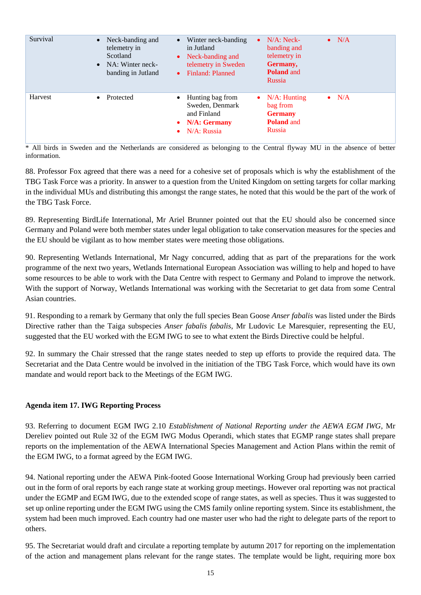| Survival | Neck-banding and<br>$\bullet$<br>telemetry in<br>Scotland<br>NA: Winter neck-<br>$\bullet$<br>banding in Jutland | Winter neck-banding<br>$\bullet$<br>in Jutland<br>Neck-banding and<br>$\bullet$<br>telemetry in Sweden<br>Finland: Planned<br>$\bullet$ | $N/A$ : Neck-<br>$\bullet$ N/A<br>$\bullet$<br>banding and<br>telemetry in<br>Germany,<br><b>Poland</b> and<br><b>Russia</b> |  |
|----------|------------------------------------------------------------------------------------------------------------------|-----------------------------------------------------------------------------------------------------------------------------------------|------------------------------------------------------------------------------------------------------------------------------|--|
| Harvest  | Protected<br>$\bullet$                                                                                           | Hunting bag from<br>Sweden, Denmark<br>and Finland<br><b>N/A: Germany</b><br>$\bullet$<br>N/A: Russia<br>$\bullet$                      | $N/A$ : Hunting<br>$\bullet$ N/A<br>$\bullet$<br>bag from<br><b>Germany</b><br><b>Poland</b> and<br>Russia                   |  |

\* All birds in Sweden and the Netherlands are considered as belonging to the Central flyway MU in the absence of better information.

88. Professor Fox agreed that there was a need for a cohesive set of proposals which is why the establishment of the TBG Task Force was a priority. In answer to a question from the United Kingdom on setting targets for collar marking in the individual MUs and distributing this amongst the range states, he noted that this would be the part of the work of the TBG Task Force.

89. Representing BirdLife International, Mr Ariel Brunner pointed out that the EU should also be concerned since Germany and Poland were both member states under legal obligation to take conservation measures for the species and the EU should be vigilant as to how member states were meeting those obligations.

90. Representing Wetlands International, Mr Nagy concurred, adding that as part of the preparations for the work programme of the next two years, Wetlands International European Association was willing to help and hoped to have some resources to be able to work with the Data Centre with respect to Germany and Poland to improve the network. With the support of Norway, Wetlands International was working with the Secretariat to get data from some Central Asian countries.

91. Responding to a remark by Germany that only the full species Bean Goose *Anser fabalis* was listed under the Birds Directive rather than the Taiga subspecies *Anser fabalis fabalis*, Mr Ludovic Le Maresquier, representing the EU, suggested that the EU worked with the EGM IWG to see to what extent the Birds Directive could be helpful.

92. In summary the Chair stressed that the range states needed to step up efforts to provide the required data. The Secretariat and the Data Centre would be involved in the initiation of the TBG Task Force, which would have its own mandate and would report back to the Meetings of the EGM IWG.

### **Agenda item 17. IWG Reporting Process**

93. Referring to document EGM IWG 2.10 *Establishment of National Reporting under the AEWA EGM IWG*, Mr Dereliev pointed out Rule 32 of the EGM IWG Modus Operandi, which states that EGMP range states shall prepare reports on the implementation of the AEWA International Species Management and Action Plans within the remit of the EGM IWG, to a format agreed by the EGM IWG.

94. National reporting under the AEWA Pink-footed Goose International Working Group had previously been carried out in the form of oral reports by each range state at working group meetings. However oral reporting was not practical under the EGMP and EGM IWG, due to the extended scope of range states, as well as species. Thus it was suggested to set up online reporting under the EGM IWG using the CMS family online reporting system. Since its establishment, the system had been much improved. Each country had one master user who had the right to delegate parts of the report to others.

95. The Secretariat would draft and circulate a reporting template by autumn 2017 for reporting on the implementation of the action and management plans relevant for the range states. The template would be light, requiring more box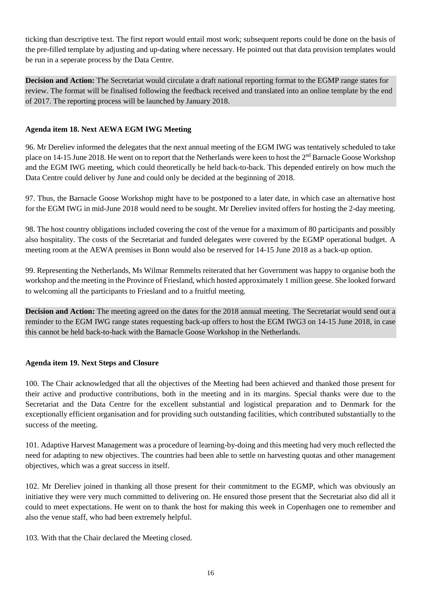ticking than descriptive text. The first report would entail most work; subsequent reports could be done on the basis of the pre-filled template by adjusting and up-dating where necessary. He pointed out that data provision templates would be run in a seperate process by the Data Centre.

**Decision and Action:** The Secretariat would circulate a draft national reporting format to the EGMP range states for review. The format will be finalised following the feedback received and translated into an online template by the end of 2017. The reporting process will be launched by January 2018.

## **Agenda item 18. Next AEWA EGM IWG Meeting**

96. Mr Dereliev informed the delegates that the next annual meeting of the EGM IWG was tentatively scheduled to take place on 14-15 June 2018. He went on to report that the Netherlands were keen to host the 2<sup>nd</sup> Barnacle Goose Workshop and the EGM IWG meeting, which could theoretically be held back-to-back. This depended entirely on how much the Data Centre could deliver by June and could only be decided at the beginning of 2018.

97. Thus, the Barnacle Goose Workshop might have to be postponed to a later date, in which case an alternative host for the EGM IWG in mid-June 2018 would need to be sought. Mr Dereliev invited offers for hosting the 2-day meeting.

98. The host country obligations included covering the cost of the venue for a maximum of 80 participants and possibly also hospitality. The costs of the Secretariat and funded delegates were covered by the EGMP operational budget. A meeting room at the AEWA premises in Bonn would also be reserved for 14-15 June 2018 as a back-up option.

99. Representing the Netherlands, Ms Wilmar Remmelts reiterated that her Government was happy to organise both the workshop and the meeting in the Province of Friesland, which hosted approximately 1 million geese. She looked forward to welcoming all the participants to Friesland and to a fruitful meeting.

**Decision and Action:** The meeting agreed on the dates for the 2018 annual meeting. The Secretariat would send out a reminder to the EGM IWG range states requesting back-up offers to host the EGM IWG3 on 14-15 June 2018, in case this cannot be held back-to-back with the Barnacle Goose Workshop in the Netherlands.

### **Agenda item 19. Next Steps and Closure**

100. The Chair acknowledged that all the objectives of the Meeting had been achieved and thanked those present for their active and productive contributions, both in the meeting and in its margins. Special thanks were due to the Secretariat and the Data Centre for the excellent substantial and logistical preparation and to Denmark for the exceptionally efficient organisation and for providing such outstanding facilities, which contributed substantially to the success of the meeting.

101. Adaptive Harvest Management was a procedure of learning-by-doing and this meeting had very much reflected the need for adapting to new objectives. The countries had been able to settle on harvesting quotas and other management objectives, which was a great success in itself.

102. Mr Dereliev joined in thanking all those present for their commitment to the EGMP, which was obviously an initiative they were very much committed to delivering on. He ensured those present that the Secretariat also did all it could to meet expectations. He went on to thank the host for making this week in Copenhagen one to remember and also the venue staff, who had been extremely helpful.

103. With that the Chair declared the Meeting closed.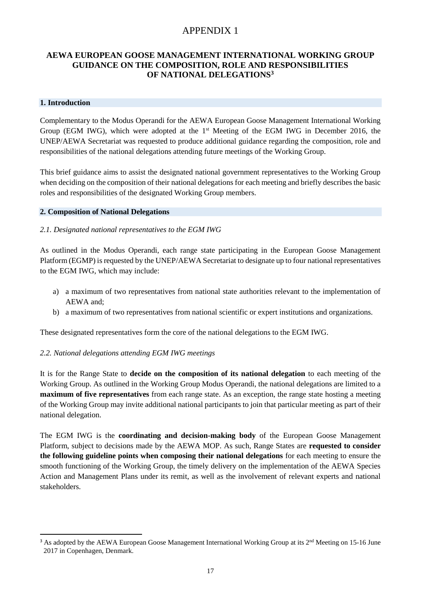# APPENDIX 1

# **AEWA EUROPEAN GOOSE MANAGEMENT INTERNATIONAL WORKING GROUP GUIDANCE ON THE COMPOSITION, ROLE AND RESPONSIBILITIES OF NATIONAL DELEGATIONS<sup>3</sup>**

### **1. Introduction**

**.** 

Complementary to the Modus Operandi for the AEWA European Goose Management International Working Group (EGM IWG), which were adopted at the 1<sup>st</sup> Meeting of the EGM IWG in December 2016, the UNEP/AEWA Secretariat was requested to produce additional guidance regarding the composition, role and responsibilities of the national delegations attending future meetings of the Working Group.

This brief guidance aims to assist the designated national government representatives to the Working Group when deciding on the composition of their national delegations for each meeting and briefly describes the basic roles and responsibilities of the designated Working Group members.

#### **2. Composition of National Delegations**

### *2.1. Designated national representatives to the EGM IWG*

As outlined in the Modus Operandi, each range state participating in the European Goose Management Platform (EGMP) is requested by the UNEP/AEWA Secretariat to designate up to four national representatives to the EGM IWG, which may include:

- a) a maximum of two representatives from national state authorities relevant to the implementation of AEWA and;
- b) a maximum of two representatives from national scientific or expert institutions and organizations.

These designated representatives form the core of the national delegations to the EGM IWG.

### *2.2. National delegations attending EGM IWG meetings*

It is for the Range State to **decide on the composition of its national delegation** to each meeting of the Working Group. As outlined in the Working Group Modus Operandi, the national delegations are limited to a **maximum of five representatives** from each range state. As an exception, the range state hosting a meeting of the Working Group may invite additional national participants to join that particular meeting as part of their national delegation.

The EGM IWG is the **coordinating and decision-making body** of the European Goose Management Platform, subject to decisions made by the AEWA MOP. As such, Range States are **requested to consider the following guideline points when composing their national delegations** for each meeting to ensure the smooth functioning of the Working Group, the timely delivery on the implementation of the AEWA Species Action and Management Plans under its remit, as well as the involvement of relevant experts and national stakeholders.

<sup>&</sup>lt;sup>3</sup> As adopted by the AEWA European Goose Management International Working Group at its 2<sup>nd</sup> Meeting on 15-16 June 2017 in Copenhagen, Denmark.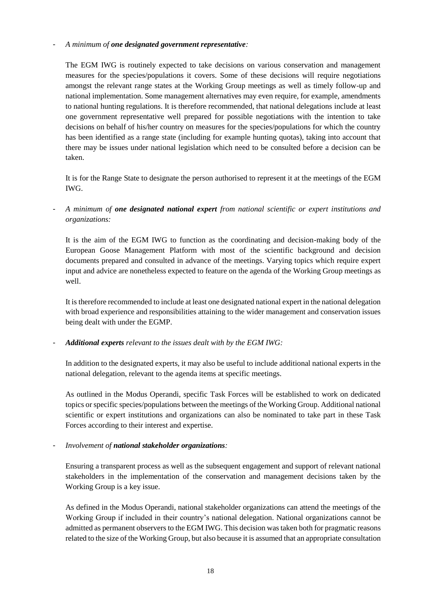### - *A minimum of one designated government representative:*

The EGM IWG is routinely expected to take decisions on various conservation and management measures for the species/populations it covers. Some of these decisions will require negotiations amongst the relevant range states at the Working Group meetings as well as timely follow-up and national implementation. Some management alternatives may even require, for example, amendments to national hunting regulations. It is therefore recommended, that national delegations include at least one government representative well prepared for possible negotiations with the intention to take decisions on behalf of his/her country on measures for the species/populations for which the country has been identified as a range state (including for example hunting quotas), taking into account that there may be issues under national legislation which need to be consulted before a decision can be taken.

It is for the Range State to designate the person authorised to represent it at the meetings of the EGM IWG.

- *A minimum of one designated national expert from national scientific or expert institutions and organizations:*

It is the aim of the EGM IWG to function as the coordinating and decision-making body of the European Goose Management Platform with most of the scientific background and decision documents prepared and consulted in advance of the meetings. Varying topics which require expert input and advice are nonetheless expected to feature on the agenda of the Working Group meetings as well.

It is therefore recommended to include at least one designated national expert in the national delegation with broad experience and responsibilities attaining to the wider management and conservation issues being dealt with under the EGMP.

### - *Additional experts relevant to the issues dealt with by the EGM IWG:*

In addition to the designated experts, it may also be useful to include additional national experts in the national delegation, relevant to the agenda items at specific meetings.

As outlined in the Modus Operandi, specific Task Forces will be established to work on dedicated topics or specific species/populations between the meetings of the Working Group. Additional national scientific or expert institutions and organizations can also be nominated to take part in these Task Forces according to their interest and expertise.

### - *Involvement of national stakeholder organizations:*

Ensuring a transparent process as well as the subsequent engagement and support of relevant national stakeholders in the implementation of the conservation and management decisions taken by the Working Group is a key issue.

As defined in the Modus Operandi, national stakeholder organizations can attend the meetings of the Working Group if included in their country's national delegation. National organizations cannot be admitted as permanent observers to the EGM IWG. This decision was taken both for pragmatic reasons related to the size of the Working Group, but also because it is assumed that an appropriate consultation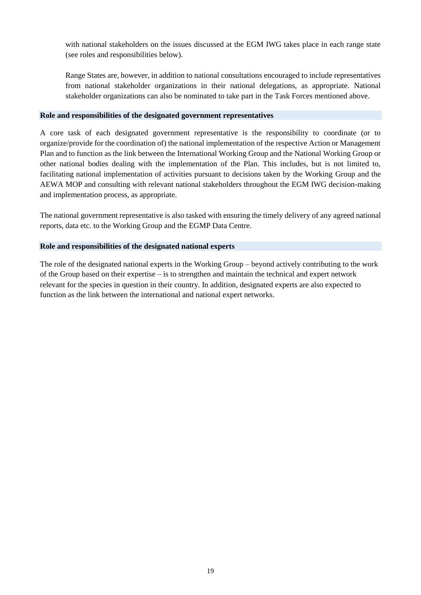with national stakeholders on the issues discussed at the EGM IWG takes place in each range state (see roles and responsibilities below).

Range States are, however, in addition to national consultations encouraged to include representatives from national stakeholder organizations in their national delegations, as appropriate. National stakeholder organizations can also be nominated to take part in the Task Forces mentioned above.

### **Role and responsibilities of the designated government representatives**

A core task of each designated government representative is the responsibility to coordinate (or to organize/provide for the coordination of) the national implementation of the respective Action or Management Plan and to function as the link between the International Working Group and the National Working Group or other national bodies dealing with the implementation of the Plan. This includes, but is not limited to, facilitating national implementation of activities pursuant to decisions taken by the Working Group and the AEWA MOP and consulting with relevant national stakeholders throughout the EGM IWG decision-making and implementation process, as appropriate.

The national government representative is also tasked with ensuring the timely delivery of any agreed national reports, data etc. to the Working Group and the EGMP Data Centre.

### **Role and responsibilities of the designated national experts**

The role of the designated national experts in the Working Group – beyond actively contributing to the work of the Group based on their expertise – is to strengthen and maintain the technical and expert network relevant for the species in question in their country. In addition, designated experts are also expected to function as the link between the international and national expert networks.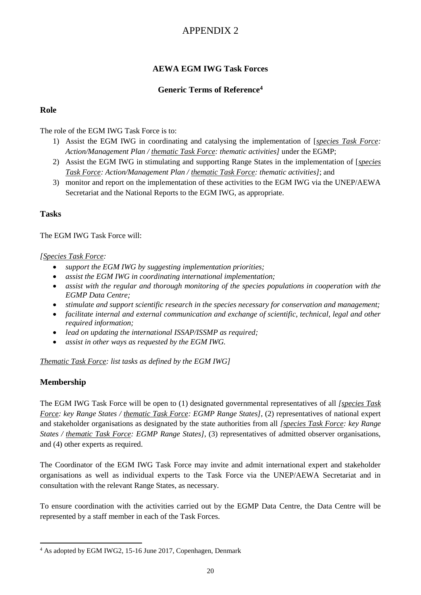# APPENDIX 2

# **AEWA EGM IWG Task Forces**

# **Generic Terms of Reference<sup>4</sup>**

# **Role**

The role of the EGM IWG Task Force is to:

- 1) Assist the EGM IWG in coordinating and catalysing the implementation of [*species Task Force: Action/Management Plan / thematic Task Force: thematic activities]* under the EGMP;
- 2) Assist the EGM IWG in stimulating and supporting Range States in the implementation of [*species Task Force: Action/Management Plan / thematic Task Force: thematic activities]*; and
- 3) monitor and report on the implementation of these activities to the EGM IWG via the UNEP/AEWA Secretariat and the National Reports to the EGM IWG, as appropriate.

# **Tasks**

The EGM IWG Task Force will:

### *[Species Task Force:*

- *support the EGM IWG by suggesting implementation priorities;*
- *assist the EGM IWG in coordinating international implementation;*
- *assist with the regular and thorough monitoring of the species populations in cooperation with the EGMP Data Centre;*
- *stimulate and support scientific research in the species necessary for conservation and management;*
- *facilitate internal and external communication and exchange of scientific, technical, legal and other required information;*
- *lead on updating the international ISSAP/ISSMP as required;*
- *assist in other ways as requested by the EGM IWG.*

*Thematic Task Force: list tasks as defined by the EGM IWG]*

# **Membership**

**.** 

The EGM IWG Task Force will be open to (1) designated governmental representatives of all *[species Task Force: key Range States / thematic Task Force: EGMP Range States]*, (2) representatives of national expert and stakeholder organisations as designated by the state authorities from all *[species Task Force: key Range States / thematic Task Force: EGMP Range States]*, (3) representatives of admitted observer organisations, and (4) other experts as required.

The Coordinator of the EGM IWG Task Force may invite and admit international expert and stakeholder organisations as well as individual experts to the Task Force via the UNEP/AEWA Secretariat and in consultation with the relevant Range States, as necessary.

To ensure coordination with the activities carried out by the EGMP Data Centre, the Data Centre will be represented by a staff member in each of the Task Forces.

<sup>4</sup> As adopted by EGM IWG2, 15-16 June 2017, Copenhagen, Denmark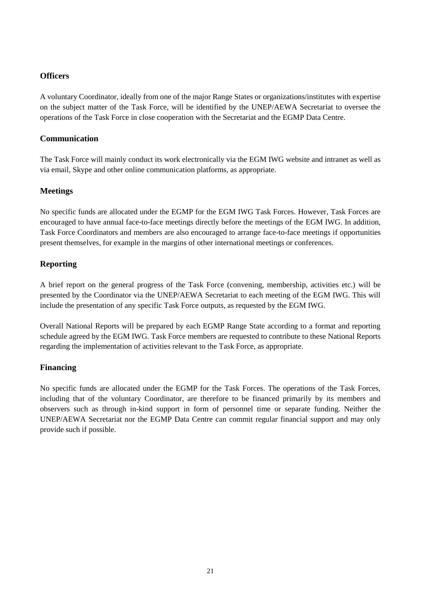# **Officers**

A voluntary Coordinator, ideally from one of the major Range States or organizations/institutes with expertise on the subject matter of the Task Force, will be identified by the UNEP/AEWA Secretariat to oversee the operations of the Task Force in close cooperation with the Secretariat and the EGMP Data Centre.

# **Communication**

The Task Force will mainly conduct its work electronically via the EGM IWG website and intranet as well as via email, Skype and other online communication platforms, as appropriate.

# **Meetings**

No specific funds are allocated under the EGMP for the EGM IWG Task Forces. However, Task Forces are encouraged to have annual face-to-face meetings directly before the meetings of the EGM IWG. In addition, Task Force Coordinators and members are also encouraged to arrange face-to-face meetings if opportunities present themselves, for example in the margins of other international meetings or conferences.

# **Reporting**

A brief report on the general progress of the Task Force (convening, membership, activities etc.) will be presented by the Coordinator via the UNEP/AEWA Secretariat to each meeting of the EGM IWG. This will include the presentation of any specific Task Force outputs, as requested by the EGM IWG.

Overall National Reports will be prepared by each EGMP Range State according to a format and reporting schedule agreed by the EGM IWG. Task Force members are requested to contribute to these National Reports regarding the implementation of activities relevant to the Task Force, as appropriate.

### **Financing**

No specific funds are allocated under the EGMP for the Task Forces. The operations of the Task Forces, including that of the voluntary Coordinator, are therefore to be financed primarily by its members and observers such as through in-kind support in form of personnel time or separate funding. Neither the UNEP/AEWA Secretariat nor the EGMP Data Centre can commit regular financial support and may only provide such if possible.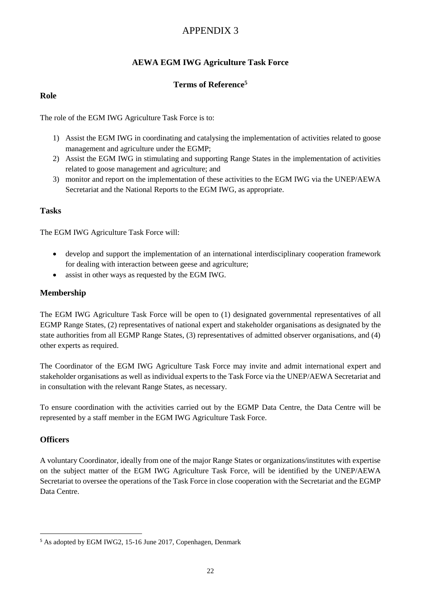# APPENDIX 3

# **AEWA EGM IWG Agriculture Task Force**

# **Terms of Reference<sup>5</sup>**

## **Role**

The role of the EGM IWG Agriculture Task Force is to:

- 1) Assist the EGM IWG in coordinating and catalysing the implementation of activities related to goose management and agriculture under the EGMP;
- 2) Assist the EGM IWG in stimulating and supporting Range States in the implementation of activities related to goose management and agriculture; and
- 3) monitor and report on the implementation of these activities to the EGM IWG via the UNEP/AEWA Secretariat and the National Reports to the EGM IWG, as appropriate.

# **Tasks**

The EGM IWG Agriculture Task Force will:

- develop and support the implementation of an international interdisciplinary cooperation framework for dealing with interaction between geese and agriculture;
- assist in other ways as requested by the EGM IWG.

# **Membership**

The EGM IWG Agriculture Task Force will be open to (1) designated governmental representatives of all EGMP Range States, (2) representatives of national expert and stakeholder organisations as designated by the state authorities from all EGMP Range States, (3) representatives of admitted observer organisations, and (4) other experts as required.

The Coordinator of the EGM IWG Agriculture Task Force may invite and admit international expert and stakeholder organisations as well as individual experts to the Task Force via the UNEP/AEWA Secretariat and in consultation with the relevant Range States, as necessary.

To ensure coordination with the activities carried out by the EGMP Data Centre, the Data Centre will be represented by a staff member in the EGM IWG Agriculture Task Force.

### **Officers**

**.** 

A voluntary Coordinator, ideally from one of the major Range States or organizations/institutes with expertise on the subject matter of the EGM IWG Agriculture Task Force, will be identified by the UNEP/AEWA Secretariat to oversee the operations of the Task Force in close cooperation with the Secretariat and the EGMP Data Centre.

<sup>5</sup> As adopted by EGM IWG2, 15-16 June 2017, Copenhagen, Denmark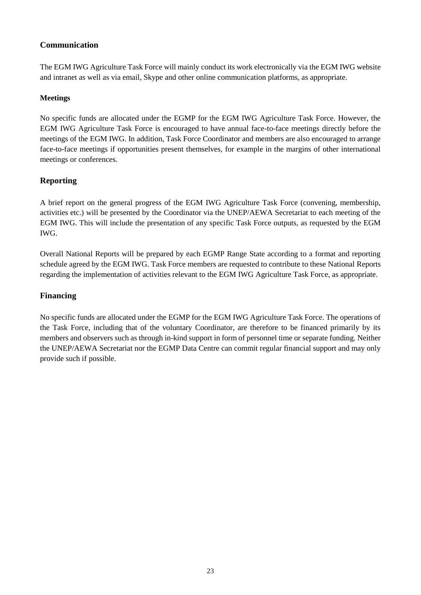# **Communication**

The EGM IWG Agriculture Task Force will mainly conduct its work electronically via the EGM IWG website and intranet as well as via email, Skype and other online communication platforms, as appropriate.

# **Meetings**

No specific funds are allocated under the EGMP for the EGM IWG Agriculture Task Force. However, the EGM IWG Agriculture Task Force is encouraged to have annual face-to-face meetings directly before the meetings of the EGM IWG. In addition, Task Force Coordinator and members are also encouraged to arrange face-to-face meetings if opportunities present themselves, for example in the margins of other international meetings or conferences.

# **Reporting**

A brief report on the general progress of the EGM IWG Agriculture Task Force (convening, membership, activities etc.) will be presented by the Coordinator via the UNEP/AEWA Secretariat to each meeting of the EGM IWG. This will include the presentation of any specific Task Force outputs, as requested by the EGM IWG.

Overall National Reports will be prepared by each EGMP Range State according to a format and reporting schedule agreed by the EGM IWG. Task Force members are requested to contribute to these National Reports regarding the implementation of activities relevant to the EGM IWG Agriculture Task Force, as appropriate.

# **Financing**

No specific funds are allocated under the EGMP for the EGM IWG Agriculture Task Force. The operations of the Task Force, including that of the voluntary Coordinator, are therefore to be financed primarily by its members and observers such as through in-kind support in form of personnel time or separate funding. Neither the UNEP/AEWA Secretariat nor the EGMP Data Centre can commit regular financial support and may only provide such if possible.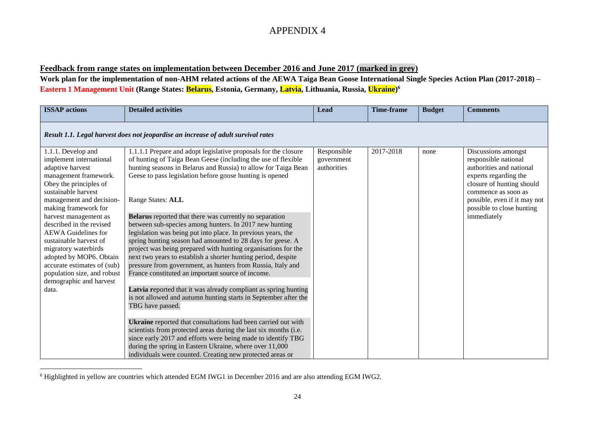# APPENDIX 4

### **Feedback from range states on implementation between December 2016 and June 2017 (marked in grey)**

**Work plan for the implementation of non-AHM related actions of the AEWA Taiga Bean Goose International Single Species Action Plan (2017-2018) – Eastern 1 Management Unit (Range States: Belarus, Estonia, Germany, Latvia, Lithuania, Russia, Ukraine) 6**

| <b>ISSAP</b> actions                                                                                                                                                                                                                                                                                                                                                                                                                                              | <b>Detailed activities</b>                                                                                                                                                                                                                                                                                                                                                                                                                                                                                                                                                                                                                                                                                                                                                                                                                                                                                                                                                                                                                                                                                                                                                                                                                                                                 | <b>Lead</b>                              | <b>Time-frame</b> | <b>Budget</b> | <b>Comments</b>                                                                                                                                                                                                                  |
|-------------------------------------------------------------------------------------------------------------------------------------------------------------------------------------------------------------------------------------------------------------------------------------------------------------------------------------------------------------------------------------------------------------------------------------------------------------------|--------------------------------------------------------------------------------------------------------------------------------------------------------------------------------------------------------------------------------------------------------------------------------------------------------------------------------------------------------------------------------------------------------------------------------------------------------------------------------------------------------------------------------------------------------------------------------------------------------------------------------------------------------------------------------------------------------------------------------------------------------------------------------------------------------------------------------------------------------------------------------------------------------------------------------------------------------------------------------------------------------------------------------------------------------------------------------------------------------------------------------------------------------------------------------------------------------------------------------------------------------------------------------------------|------------------------------------------|-------------------|---------------|----------------------------------------------------------------------------------------------------------------------------------------------------------------------------------------------------------------------------------|
|                                                                                                                                                                                                                                                                                                                                                                                                                                                                   | Result 1.1. Legal harvest does not jeopardise an increase of adult survival rates                                                                                                                                                                                                                                                                                                                                                                                                                                                                                                                                                                                                                                                                                                                                                                                                                                                                                                                                                                                                                                                                                                                                                                                                          |                                          |                   |               |                                                                                                                                                                                                                                  |
| 1.1.1. Develop and<br>implement international<br>adaptive harvest<br>management framework.<br>Obey the principles of<br>sustainable harvest<br>management and decision-<br>making framework for<br>harvest management as<br>described in the revised<br><b>AEWA</b> Guidelines for<br>sustainable harvest of<br>migratory waterbirds<br>adopted by MOP6. Obtain<br>accurate estimates of (sub)<br>population size, and robust<br>demographic and harvest<br>data. | 1.1.1.1 Prepare and adopt legislative proposals for the closure<br>of hunting of Taiga Bean Geese (including the use of flexible<br>hunting seasons in Belarus and Russia) to allow for Taiga Bean<br>Geese to pass legislation before goose hunting is opened<br>Range States: ALL<br><b>Belarus</b> reported that there was currently no separation<br>between sub-species among hunters. In 2017 new hunting<br>legislation was being put into place. In previous years, the<br>spring hunting season had amounted to 28 days for geese. A<br>project was being prepared with hunting organisations for the<br>next two years to establish a shorter hunting period, despite<br>pressure from government, as hunters from Russia, Italy and<br>France constituted an important source of income.<br>Latvia reported that it was already compliant as spring hunting<br>is not allowed and autumn hunting starts in September after the<br>TBG have passed.<br>Ukraine reported that consultations had been carried out with<br>scientists from protected areas during the last six months (i.e.<br>since early 2017 and efforts were being made to identify TBG<br>during the spring in Eastern Ukraine, where over 11,000<br>individuals were counted. Creating new protected areas or | Responsible<br>government<br>authorities | 2017-2018         | none          | Discussions amongst<br>responsible national<br>authorities and national<br>experts regarding the<br>closure of hunting should<br>commence as soon as<br>possible, even if it may not<br>possible to close hunting<br>immediately |

<sup>6</sup> Highlighted in yellow are countries which attended EGM IWG1 in December 2016 and are also attending EGM IWG2.

 $\overline{\phantom{a}}$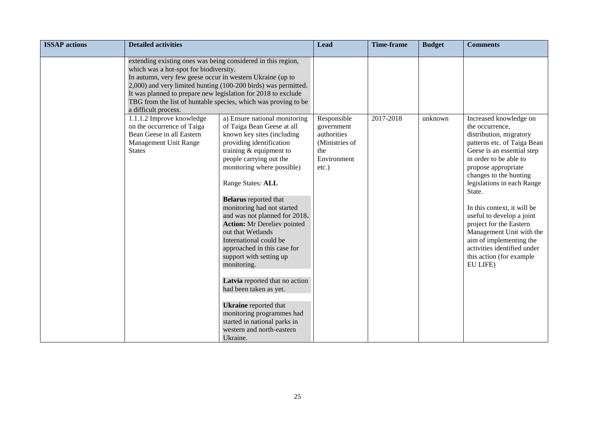| <b>ISSAP</b> actions | <b>Detailed activities</b>                                                                                                                                                                                                                                                                |                                                                                                                                                                                                                                                                                                                                                                                                                                                                                                                                                                                                                                                                | Lead                                                                          | <b>Time-frame</b> | <b>Budget</b> | <b>Comments</b>                                                                                                                                                                                                                                                                                                                                                                                                                                 |
|----------------------|-------------------------------------------------------------------------------------------------------------------------------------------------------------------------------------------------------------------------------------------------------------------------------------------|----------------------------------------------------------------------------------------------------------------------------------------------------------------------------------------------------------------------------------------------------------------------------------------------------------------------------------------------------------------------------------------------------------------------------------------------------------------------------------------------------------------------------------------------------------------------------------------------------------------------------------------------------------------|-------------------------------------------------------------------------------|-------------------|---------------|-------------------------------------------------------------------------------------------------------------------------------------------------------------------------------------------------------------------------------------------------------------------------------------------------------------------------------------------------------------------------------------------------------------------------------------------------|
|                      | extending existing ones was being considered in this region,<br>which was a hot-spot for biodiversity.<br>In autumn, very few geese occur in western Ukraine (up to<br>It was planned to prepare new legislation for 2018 to exclude<br>a difficult process.<br>1.1.1.2 Improve knowledge | 2,000) and very limited hunting (100-200 birds) was permitted.<br>TBG from the list of huntable species, which was proving to be<br>a) Ensure national monitoring                                                                                                                                                                                                                                                                                                                                                                                                                                                                                              | Responsible                                                                   | 2017-2018         | unknown       | Increased knowledge on                                                                                                                                                                                                                                                                                                                                                                                                                          |
|                      | on the occurrence of Taiga<br>Bean Geese in all Eastern<br>Management Unit Range<br><b>States</b>                                                                                                                                                                                         | of Taiga Bean Geese at all<br>known key sites (including<br>providing identification<br>training $&$ equipment to<br>people carrying out the<br>monitoring where possible)<br>Range States: ALL<br><b>Belarus</b> reported that<br>monitoring had not started<br>and was not planned for 2018.<br><b>Action:</b> Mr Dereliev pointed<br>out that Wetlands<br>International could be<br>approached in this case for<br>support with setting up<br>monitoring.<br>Latvia reported that no action<br>had been taken as yet.<br><b>Ukraine</b> reported that<br>monitoring programmes had<br>started in national parks in<br>western and north-eastern<br>Ukraine. | government<br>authorities<br>(Ministries of<br>the<br>Environment<br>$etc.$ ) |                   |               | the occurrence,<br>distribution, migratory<br>patterns etc. of Taiga Bean<br>Geese is an essential step<br>in order to be able to<br>propose appropriate<br>changes to the hunting<br>legislations in each Range<br>State.<br>In this context, it will be<br>useful to develop a joint<br>project for the Eastern<br>Management Unit with the<br>aim of implementing the<br>activities identified under<br>this action (for example<br>EU LIFE) |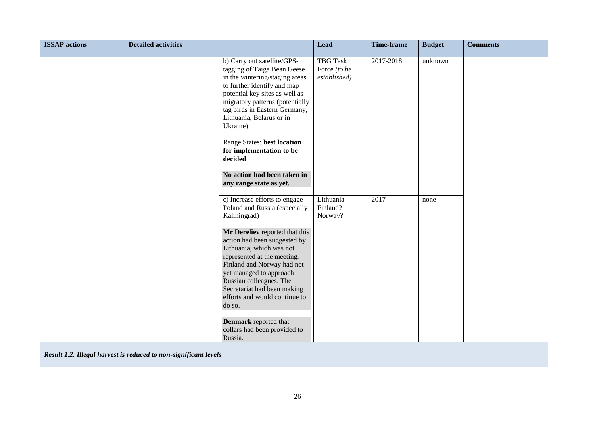| <b>ISSAP</b> actions | <b>Detailed activities</b>                                       |                                                                                                                                                                                                                                                                                                                                                                                                                                                      | <b>Lead</b>                                     | <b>Time-frame</b> | <b>Budget</b> | <b>Comments</b> |
|----------------------|------------------------------------------------------------------|------------------------------------------------------------------------------------------------------------------------------------------------------------------------------------------------------------------------------------------------------------------------------------------------------------------------------------------------------------------------------------------------------------------------------------------------------|-------------------------------------------------|-------------------|---------------|-----------------|
|                      |                                                                  | b) Carry out satellite/GPS-<br>tagging of Taiga Bean Geese<br>in the wintering/staging areas<br>to further identify and map<br>potential key sites as well as<br>migratory patterns (potentially<br>tag birds in Eastern Germany,<br>Lithuania, Belarus or in<br>Ukraine)<br>Range States: best location<br>for implementation to be<br>decided<br>No action had been taken in<br>any range state as yet.                                            | <b>TBG Task</b><br>Force (to be<br>established) | 2017-2018         | unknown       |                 |
|                      |                                                                  | c) Increase efforts to engage<br>Poland and Russia (especially<br>Kaliningrad)<br>Mr Dereliev reported that this<br>action had been suggested by<br>Lithuania, which was not<br>represented at the meeting.<br>Finland and Norway had not<br>yet managed to approach<br>Russian colleagues. The<br>Secretariat had been making<br>efforts and would continue to<br>do so.<br><b>Denmark</b> reported that<br>collars had been provided to<br>Russia. | Lithuania<br>Finland?<br>Norway?                | 2017              | none          |                 |
|                      | Result 1.2. Illegal harvest is reduced to non-significant levels |                                                                                                                                                                                                                                                                                                                                                                                                                                                      |                                                 |                   |               |                 |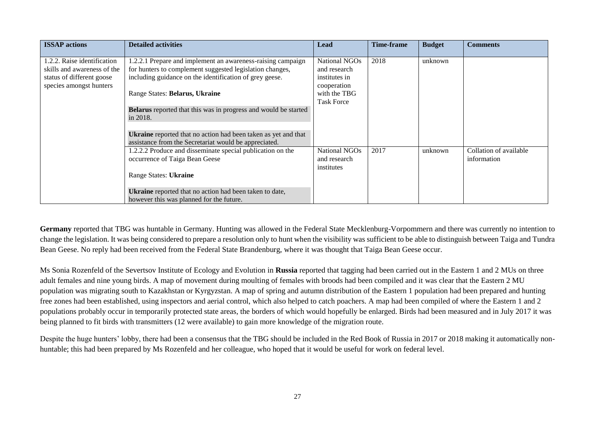| <b>ISSAP</b> actions                                                                                              | <b>Detailed activities</b>                                                                                                                                                         | Lead                                                          | <b>Time-frame</b> | <b>Budget</b> | <b>Comments</b>                       |
|-------------------------------------------------------------------------------------------------------------------|------------------------------------------------------------------------------------------------------------------------------------------------------------------------------------|---------------------------------------------------------------|-------------------|---------------|---------------------------------------|
| .2.2. Raise identification<br>skills and awareness of the<br>status of different goose<br>species amongst hunters | 1.2.2.1 Prepare and implement an awareness-raising campaign<br>for hunters to complement suggested legislation changes,<br>including guidance on the identification of grey geese. | National NGOs<br>and research<br>institutes in<br>cooperation | 2018              | unknown       |                                       |
|                                                                                                                   | Range States: Belarus, Ukraine                                                                                                                                                     | with the TBG<br><b>Task Force</b>                             |                   |               |                                       |
|                                                                                                                   | <b>Belarus</b> reported that this was in progress and would be started<br>in 2018.                                                                                                 |                                                               |                   |               |                                       |
|                                                                                                                   | <b>Ukraine</b> reported that no action had been taken as yet and that<br>assistance from the Secretariat would be appreciated.                                                     |                                                               |                   |               |                                       |
|                                                                                                                   | 1.2.2.2 Produce and disseminate special publication on the<br>occurrence of Taiga Bean Geese                                                                                       | National NGOs<br>and research<br>institutes                   | 2017              | unknown       | Collation of available<br>information |
|                                                                                                                   | Range States: Ukraine                                                                                                                                                              |                                                               |                   |               |                                       |
|                                                                                                                   | Ukraine reported that no action had been taken to date,<br>however this was planned for the future.                                                                                |                                                               |                   |               |                                       |

**Germany** reported that TBG was huntable in Germany. Hunting was allowed in the Federal State Mecklenburg-Vorpommern and there was currently no intention to change the legislation. It was being considered to prepare a resolution only to hunt when the visibility was sufficient to be able to distinguish between Taiga and Tundra Bean Geese. No reply had been received from the Federal State Brandenburg, where it was thought that Taiga Bean Geese occur.

Ms Sonia Rozenfeld of the Severtsov Institute of Ecology and Evolution in **Russia** reported that tagging had been carried out in the Eastern 1 and 2 MUs on three adult females and nine young birds. A map of movement during moulting of females with broods had been compiled and it was clear that the Eastern 2 MU population was migrating south to Kazakhstan or Kyrgyzstan. A map of spring and autumn distribution of the Eastern 1 population had been prepared and hunting free zones had been established, using inspectors and aerial control, which also helped to catch poachers. A map had been compiled of where the Eastern 1 and 2 populations probably occur in temporarily protected state areas, the borders of which would hopefully be enlarged. Birds had been measured and in July 2017 it was being planned to fit birds with transmitters (12 were available) to gain more knowledge of the migration route.

Despite the huge hunters' lobby, there had been a consensus that the TBG should be included in the Red Book of Russia in 2017 or 2018 making it automatically nonhuntable; this had been prepared by Ms Rozenfeld and her colleague, who hoped that it would be useful for work on federal level.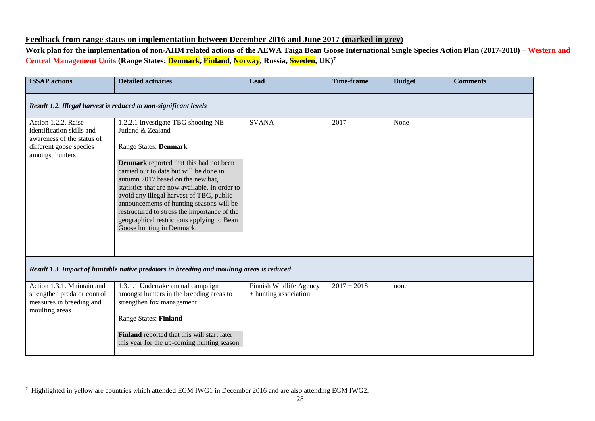# **Feedback from range states on implementation between December 2016 and June 2017 (marked in grey)**

**Work plan for the implementation of non-AHM related actions of the AEWA Taiga Bean Goose International Single Species Action Plan (2017-2018) – Western and Central Management Units (Range States: Denmark, Finland, Norway, Russia, Sweden, UK)<sup>7</sup>**

| <b>ISSAP</b> actions                                                                                                         | <b>Detailed activities</b>                                                                                                                                                                                                                                                                                          | <b>Lead</b>                                      | <b>Time-frame</b> | <b>Budget</b> | <b>Comments</b> |  |  |  |  |
|------------------------------------------------------------------------------------------------------------------------------|---------------------------------------------------------------------------------------------------------------------------------------------------------------------------------------------------------------------------------------------------------------------------------------------------------------------|--------------------------------------------------|-------------------|---------------|-----------------|--|--|--|--|
|                                                                                                                              | Result 1.2. Illegal harvest is reduced to non-significant levels                                                                                                                                                                                                                                                    |                                                  |                   |               |                 |  |  |  |  |
| Action 1.2.2. Raise<br>identification skills and<br>awareness of the status of<br>different goose species<br>amongst hunters | 1.2.2.1 Investigate TBG shooting NE<br>Jutland & Zealand<br>Range States: Denmark<br><b>Denmark</b> reported that this had not been                                                                                                                                                                                 | <b>SVANA</b>                                     | 2017              | None          |                 |  |  |  |  |
|                                                                                                                              | carried out to date but will be done in<br>autumn 2017 based on the new bag<br>statistics that are now available. In order to<br>avoid any illegal harvest of TBG, public<br>announcements of hunting seasons will be<br>restructured to stress the importance of the<br>geographical restrictions applying to Bean |                                                  |                   |               |                 |  |  |  |  |
|                                                                                                                              | Goose hunting in Denmark.                                                                                                                                                                                                                                                                                           |                                                  |                   |               |                 |  |  |  |  |
|                                                                                                                              | Result 1.3. Impact of huntable native predators in breeding and moulting areas is reduced                                                                                                                                                                                                                           |                                                  |                   |               |                 |  |  |  |  |
| Action 1.3.1. Maintain and<br>strengthen predator control<br>measures in breeding and<br>moulting areas                      | 1.3.1.1 Undertake annual campaign<br>amongst hunters in the breeding areas to<br>strengthen fox management                                                                                                                                                                                                          | Finnish Wildlife Agency<br>+ hunting association | $2017 + 2018$     | none          |                 |  |  |  |  |
|                                                                                                                              | <b>Range States: Finland</b>                                                                                                                                                                                                                                                                                        |                                                  |                   |               |                 |  |  |  |  |
|                                                                                                                              | Finland reported that this will start later<br>this year for the up-coming hunting season.                                                                                                                                                                                                                          |                                                  |                   |               |                 |  |  |  |  |

 $\overline{a}$ 

<sup>&</sup>lt;sup>7</sup> Highlighted in yellow are countries which attended EGM IWG1 in December 2016 and are also attending EGM IWG2.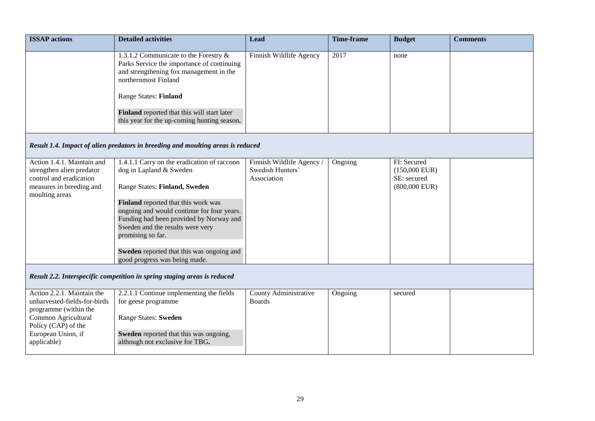| <b>ISSAP</b> actions                                                                                                                                                   | <b>Detailed activities</b>                                                                                                                                                                                                                                                                                                                                                     | Lead                                                         | <b>Time-frame</b> | <b>Budget</b>                                                    | <b>Comments</b> |
|------------------------------------------------------------------------------------------------------------------------------------------------------------------------|--------------------------------------------------------------------------------------------------------------------------------------------------------------------------------------------------------------------------------------------------------------------------------------------------------------------------------------------------------------------------------|--------------------------------------------------------------|-------------------|------------------------------------------------------------------|-----------------|
|                                                                                                                                                                        | 1.3.1.2 Communicate to the Forestry &<br>Parks Service the importance of continuing<br>and strengthening fox management in the<br>northernmost Finland<br><b>Range States: Finland</b>                                                                                                                                                                                         | Finnish Wildlife Agency                                      | 2017              | none                                                             |                 |
|                                                                                                                                                                        | Finland reported that this will start later<br>this year for the up-coming hunting season.                                                                                                                                                                                                                                                                                     |                                                              |                   |                                                                  |                 |
|                                                                                                                                                                        | Result 1.4. Impact of alien predators in breeding and moulting areas is reduced                                                                                                                                                                                                                                                                                                |                                                              |                   |                                                                  |                 |
| Action 1.4.1. Maintain and<br>strengthen alien predator<br>control and eradication<br>measures in breeding and<br>moulting areas                                       | 1.4.1.1 Carry on the eradication of raccoon<br>dog in Lapland & Sweden<br>Range States: Finland, Sweden<br>Finland reported that this work was<br>ongoing and would continue for four years.<br>Funding had been provided by Norway and<br>Sweden and the results were very<br>promising so far.<br>Sweden reported that this was ongoing and<br>good progress was being made. | Finnish Wildlife Agency /<br>Swedish Hunters'<br>Association | Ongoing           | FI: Secured<br>$(150,000$ EUR)<br>SE: secured<br>$(800,000$ EUR) |                 |
|                                                                                                                                                                        | Result 2.2. Interspecific competition in spring staging areas is reduced                                                                                                                                                                                                                                                                                                       |                                                              |                   |                                                                  |                 |
| Action 2.2.1. Maintain the<br>unharvested-fields-for-birds<br>programme (within the<br>Common Agricultural<br>Policy (CAP) of the<br>European Union, if<br>applicable) | 2.2.1.1 Continue implementing the fields<br>for geese programme<br><b>Range States: Sweden</b><br>Sweden reported that this was ongoing,<br>although not exclusive for TBG.                                                                                                                                                                                                    | County Administrative<br><b>Boards</b>                       | Ongoing           | secured                                                          |                 |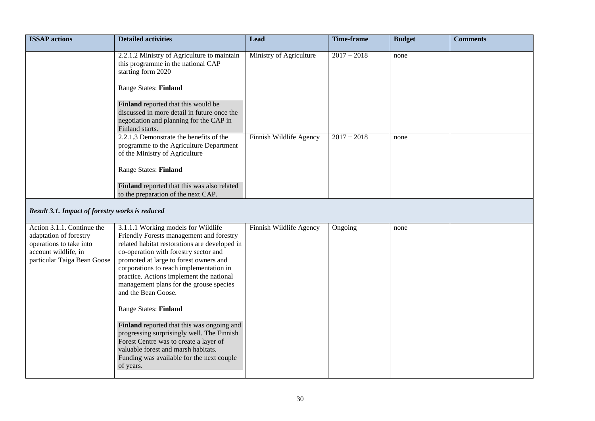| <b>ISSAP</b> actions                                                                                                                   | <b>Detailed activities</b>                                                                                                                                                                                                                                                                                                                                                   | <b>Lead</b>             | <b>Time-frame</b> | <b>Budget</b> | <b>Comments</b> |
|----------------------------------------------------------------------------------------------------------------------------------------|------------------------------------------------------------------------------------------------------------------------------------------------------------------------------------------------------------------------------------------------------------------------------------------------------------------------------------------------------------------------------|-------------------------|-------------------|---------------|-----------------|
|                                                                                                                                        | 2.2.1.2 Ministry of Agriculture to maintain<br>this programme in the national CAP<br>starting form 2020<br><b>Range States: Finland</b>                                                                                                                                                                                                                                      | Ministry of Agriculture | $2017 + 2018$     | none          |                 |
|                                                                                                                                        | Finland reported that this would be<br>discussed in more detail in future once the<br>negotiation and planning for the CAP in<br>Finland starts.                                                                                                                                                                                                                             |                         |                   |               |                 |
|                                                                                                                                        | 2.2.1.3 Demonstrate the benefits of the<br>programme to the Agriculture Department<br>of the Ministry of Agriculture                                                                                                                                                                                                                                                         | Finnish Wildlife Agency | $2017 + 2018$     | none          |                 |
|                                                                                                                                        | Range States: Finland                                                                                                                                                                                                                                                                                                                                                        |                         |                   |               |                 |
|                                                                                                                                        | Finland reported that this was also related<br>to the preparation of the next CAP.                                                                                                                                                                                                                                                                                           |                         |                   |               |                 |
| Result 3.1. Impact of forestry works is reduced                                                                                        |                                                                                                                                                                                                                                                                                                                                                                              |                         |                   |               |                 |
| Action 3.1.1. Continue the<br>adaptation of forestry<br>operations to take into<br>account wildlife, in<br>particular Taiga Bean Goose | 3.1.1.1 Working models for Wildlife<br>Friendly Forests management and forestry<br>related habitat restorations are developed in<br>co-operation with forestry sector and<br>promoted at large to forest owners and<br>corporations to reach implementation in<br>practice. Actions implement the national<br>management plans for the grouse species<br>and the Bean Goose. | Finnish Wildlife Agency | Ongoing           | none          |                 |
|                                                                                                                                        | <b>Range States: Finland</b>                                                                                                                                                                                                                                                                                                                                                 |                         |                   |               |                 |
|                                                                                                                                        | Finland reported that this was ongoing and<br>progressing surprisingly well. The Finnish<br>Forest Centre was to create a layer of<br>valuable forest and marsh habitats.<br>Funding was available for the next couple<br>of years.                                                                                                                                          |                         |                   |               |                 |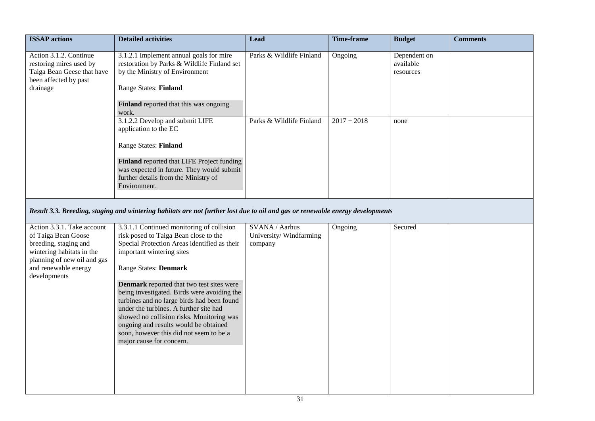| <b>ISSAP</b> actions                                                                                                                                           | <b>Detailed activities</b>                                                                                                                                                                                                                                                                                                                    | Lead                                                | <b>Time-frame</b> | <b>Budget</b>                          | <b>Comments</b> |  |
|----------------------------------------------------------------------------------------------------------------------------------------------------------------|-----------------------------------------------------------------------------------------------------------------------------------------------------------------------------------------------------------------------------------------------------------------------------------------------------------------------------------------------|-----------------------------------------------------|-------------------|----------------------------------------|-----------------|--|
| Action 3.1.2. Continue<br>restoring mires used by<br>Taiga Bean Geese that have<br>been affected by past<br>drainage                                           | 3.1.2.1 Implement annual goals for mire<br>restoration by Parks & Wildlife Finland set<br>by the Ministry of Environment<br><b>Range States: Finland</b>                                                                                                                                                                                      | Parks & Wildlife Finland                            | Ongoing           | Dependent on<br>available<br>resources |                 |  |
|                                                                                                                                                                | Finland reported that this was ongoing<br>work.                                                                                                                                                                                                                                                                                               |                                                     |                   |                                        |                 |  |
|                                                                                                                                                                | 3.1.2.2 Develop and submit LIFE<br>application to the EC                                                                                                                                                                                                                                                                                      | Parks & Wildlife Finland                            | $2017 + 2018$     | none                                   |                 |  |
|                                                                                                                                                                | <b>Range States: Finland</b>                                                                                                                                                                                                                                                                                                                  |                                                     |                   |                                        |                 |  |
|                                                                                                                                                                | Finland reported that LIFE Project funding<br>was expected in future. They would submit<br>further details from the Ministry of<br>Environment.                                                                                                                                                                                               |                                                     |                   |                                        |                 |  |
| Result 3.3. Breeding, staging and wintering habitats are not further lost due to oil and gas or renewable energy developments                                  |                                                                                                                                                                                                                                                                                                                                               |                                                     |                   |                                        |                 |  |
| Action 3.3.1. Take account<br>of Taiga Bean Goose<br>breeding, staging and<br>wintering habitats in the<br>planning of new oil and gas<br>and renewable energy | 3.3.1.1 Continued monitoring of collision<br>risk posed to Taiga Bean close to the<br>Special Protection Areas identified as their<br>important wintering sites<br><b>Range States: Denmark</b>                                                                                                                                               | SVANA / Aarhus<br>University/Windfarming<br>company | Ongoing           | Secured                                |                 |  |
| developments                                                                                                                                                   | Denmark reported that two test sites were<br>being investigated. Birds were avoiding the<br>turbines and no large birds had been found<br>under the turbines. A further site had<br>showed no collision risks. Monitoring was<br>ongoing and results would be obtained<br>soon, however this did not seem to be a<br>major cause for concern. |                                                     |                   |                                        |                 |  |
|                                                                                                                                                                |                                                                                                                                                                                                                                                                                                                                               |                                                     |                   |                                        |                 |  |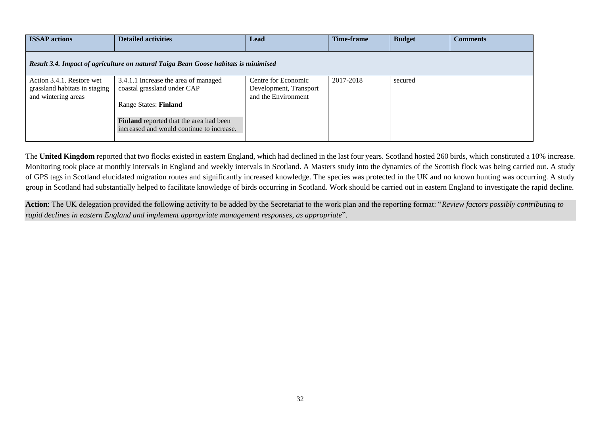| <b>ISSAP</b> actions                                                                | <b>Detailed activities</b>                                                           | Lead                   | <b>Time-frame</b> | <b>Budget</b> | <b>Comments</b> |  |  |
|-------------------------------------------------------------------------------------|--------------------------------------------------------------------------------------|------------------------|-------------------|---------------|-----------------|--|--|
| Result 3.4. Impact of agriculture on natural Taiga Bean Goose habitats is minimised |                                                                                      |                        |                   |               |                 |  |  |
| Action 3.4.1. Restore wet                                                           | 3.4.1.1 Increase the area of managed                                                 | Centre for Economic    | 2017-2018         | secured       |                 |  |  |
| grassland habitats in staging                                                       | coastal grassland under CAP                                                          | Development, Transport |                   |               |                 |  |  |
| and wintering areas                                                                 |                                                                                      | and the Environment    |                   |               |                 |  |  |
|                                                                                     | <b>Range States: Finland</b>                                                         |                        |                   |               |                 |  |  |
|                                                                                     | Finland reported that the area had been<br>increased and would continue to increase. |                        |                   |               |                 |  |  |

The **United Kingdom** reported that two flocks existed in eastern England, which had declined in the last four years. Scotland hosted 260 birds, which constituted a 10% increase. Monitoring took place at monthly intervals in England and weekly intervals in Scotland. A Masters study into the dynamics of the Scottish flock was being carried out. A study of GPS tags in Scotland elucidated migration routes and significantly increased knowledge. The species was protected in the UK and no known hunting was occurring. A study group in Scotland had substantially helped to facilitate knowledge of birds occurring in Scotland. Work should be carried out in eastern England to investigate the rapid decline.

**Action**: The UK delegation provided the following activity to be added by the Secretariat to the work plan and the reporting format: "*Review factors possibly contributing to rapid declines in eastern England and implement appropriate management responses, as appropriate*".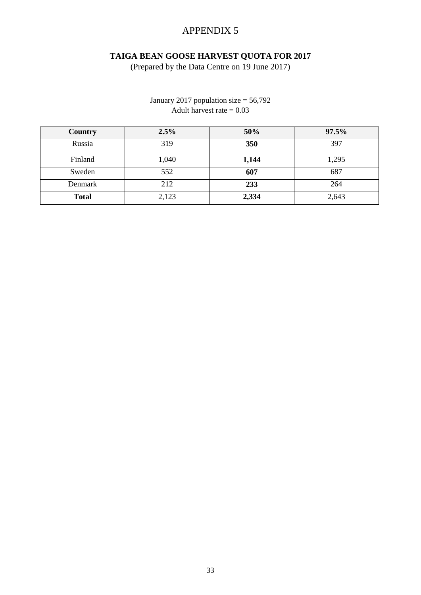# APPENDIX 5

# **TAIGA BEAN GOOSE HARVEST QUOTA FOR 2017**

(Prepared by the Data Centre on 19 June 2017)

# January 2017 population size  $= 56,792$ Adult harvest rate  $= 0.03$

| Country      | 2.5%  | 50%   | 97.5% |
|--------------|-------|-------|-------|
| Russia       | 319   | 350   | 397   |
| Finland      | 1,040 | 1,144 | 1,295 |
| Sweden       | 552   | 607   | 687   |
| Denmark      | 212   | 233   | 264   |
| <b>Total</b> | 2,123 | 2,334 | 2,643 |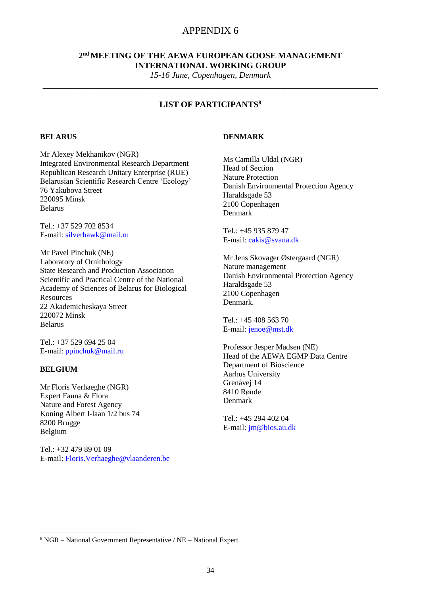# APPENDIX 6

### **2 nd MEETING OF THE AEWA EUROPEAN GOOSE MANAGEMENT INTERNATIONAL WORKING GROUP**

*15-16 June, Copenhagen, Denmark* **\_\_\_\_\_\_\_\_\_\_\_\_\_\_\_\_\_\_\_\_\_\_\_\_\_\_\_\_\_\_\_\_\_\_\_\_\_\_\_\_\_\_\_\_\_\_\_\_\_\_\_\_\_\_\_\_\_\_\_\_\_\_\_\_\_\_\_\_\_\_\_\_\_\_\_\_\_\_\_**

# **LIST OF PARTICIPANTS<sup>8</sup>**

### **BELARUS**

Mr Alexey Mekhanikov (NGR) Integrated Environmental Research Department Republican Research Unitary Enterprise (RUE) Belarusian Scientific Research Centre 'Ecology' 76 Yakubova Street 220095 Minsk Belarus

Tel.: +37 529 702 8534 E-mail: [silverhawk@mail.ru](mailto:silverhawk@mail.ru)

Mr Pavel Pinchuk (NE) Laboratory of Ornithology State Research and Production Association Scientific and Practical Centre of the National Academy of Sciences of Belarus for Biological **Resources** 22 Akademicheskaya Street 220072 Minsk Belarus

Tel.: +37 529 694 25 04 E-mail: [ppinchuk@mail.ru](mailto:ppinchuk@mail.ru)

#### **BELGIUM**

**.** 

Mr Floris Verhaeghe (NGR) Expert Fauna & Flora Nature and Forest Agency Koning Albert I-laan 1/2 bus 74 8200 Brugge Belgium

Tel.: +32 479 89 01 09 E-mail: Floris.Verhaeghe@vlaanderen.be

#### **DENMARK**

Ms Camilla Uldal (NGR) Head of Section Nature Protection Danish Environmental Protection Agency Haraldsgade 53 2100 Copenhagen Denmark

Tel.: +45 935 879 47 E-mail: [cakis@svana.dk](mailto:cakis@svana.dk)

Mr Jens Skovager Østergaard (NGR) Nature management Danish Environmental Protection Agency Haraldsgade 53 2100 Copenhagen Denmark.

Tel:  $+45\,408\,563\,70$ E-mail: jenoe@mst.dk

Professor Jesper Madsen (NE) Head of the AEWA EGMP Data Centre Department of Bioscience Aarhus University Grenåvej 14 8410 Rønde Denmark

Tel.: +45 294 402 04 E-mail: [jm@bios.au.dk](mailto:jm@bios.au.dk)

<sup>8</sup> NGR – National Government Representative / NE – National Expert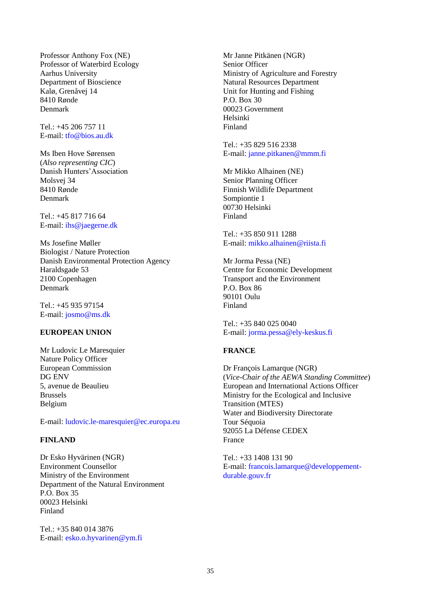Professor Anthony Fox (NE) Professor of Waterbird Ecology Aarhus University Department of Bioscience Kalø, Grenåvej 14 8410 Rønde Denmark

Tel.: +45 206 757 11 E-mail: [tfo@bios.au.dk](mailto:tfo@bios.au.dk)

Ms Iben Hove Sørensen (*Also representing CIC*) Danish Hunters'Association Molsvej 34 8410 Rønde Denmark

Tel.: +45 817 716 64 E-mail: [ihs@jaegerne.dk](mailto:ihs@jaegerne.dk)

Ms Josefine Møller Biologist / Nature Protection Danish Environmental Protection Agency Haraldsgade 53 2100 Copenhagen Denmark

Tel.: +45 935 97154 E-mail: josmo@ms.dk

### **EUROPEAN UNION**

Mr Ludovic Le Maresquier Nature Policy Officer European Commission DG ENV 5, avenue de Beaulieu Brussels Belgium

E-mail: ludovic.le-maresquier@ec.europa.eu

### **FINLAND**

Dr Esko Hyvärinen (NGR) Environment Counsellor Ministry of the Environment Department of the Natural Environment P.O. Box 35 00023 Helsinki Finland

Tel.: +35 840 014 3876 E-mail: [esko.o.hyvarinen@ym.fi](mailto:esko.o.hyvarinen@ym.fi)

Mr Janne Pitkänen (NGR) Senior Officer Ministry of Agriculture and Forestry Natural Resources Department Unit for Hunting and Fishing P.O. Box 30 00023 Government Helsinki Finland

Tel.: +35 829 516 2338 E-mail: [janne.pitkanen@mmm.fi](mailto:janne.pitkanen@mmm.fi)

Mr Mikko Alhainen (NE) Senior Planning Officer Finnish Wildlife Department Sompiontie 1 00730 Helsinki Finland

Tel.: +35 850 911 1288 E-mail: [mikko.alhainen@riista.fi](mailto:mikko.alhainen@riista.fi)

Mr Jorma Pessa (NE) Centre for Economic Development Transport and the Environment P.O. Box 86 90101 Oulu Finland

Tel.: +35 840 025 0040 E-mail: [jorma.pessa@ely-keskus.fi](mailto:orma.pessa@ely-keskus.fi)

### **FRANCE**

Dr François Lamarque (NGR) (*Vice-Chair of the AEWA Standing Committee*) European and International Actions Officer Ministry for the Ecological and Inclusive Transition (MTES) Water and Biodiversity Directorate Tour Séquoia 92055 La Défense CEDEX France

Tel.: +33 1408 131 90 E-mail: [francois.lamarque@developpement](mailto:francois.lamarque@developpement-durable.gouv.fr)[durable.gouv.fr](mailto:francois.lamarque@developpement-durable.gouv.fr)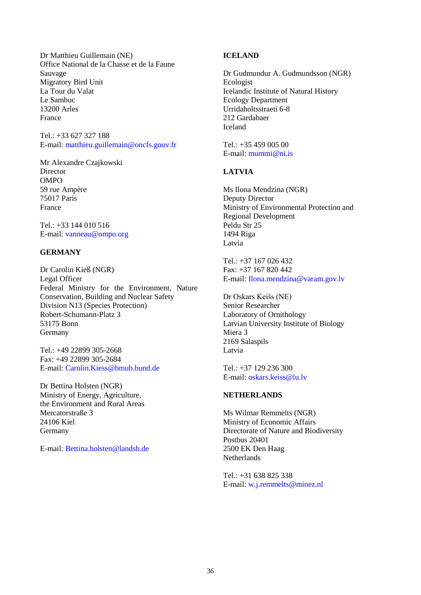Dr Matthieu Guillemain (NE) Office National de la Chasse et de la Faune Sauvage Migratory Bird Unit La Tour du Valat Le Sambuc 13200 Arles France

Tel.: +33 627 327 188 E-mail: [matthieu.guillemain@oncfs.gouv.fr](mailto:matthieu.guillemain@oncfs.gouv.fr)

Mr Alexandre Czajkowski **Director** OMPO 59 rue Ampère 75017 Paris France

Tel.: +33 144 010 516 E-mail: vanneau@ompo.org

### **GERMANY**

Dr Carolin Kieß (NGR) Legal Officer Federal Ministry for the Environment, Nature Conservation, Building and Nuclear Safety Division N13 (Species Protection) Robert-Schumann-Platz 3 53175 Bonn Germany

Tel.: +49 22899 305-2668 Fax: +49 22899 305-2684 E-mail: [Carolin.Kiess@bmub.bund.de](mailto:Carolin.Kiess@bmub.bund.de)

Dr Bettina Holsten (NGR) Ministry of Energy, Agriculture, the Environment and Rural Areas Mercatorstraße 3 24106 Kiel Germany

E-mail: Bettina.holsten@landsh.de

### **ICELAND**

Dr Gudmundur A. Gudmundsson (NGR) Ecologist Icelandic Institute of Natural History Ecology Department Urridaholtsstraeti 6-8 212 Gardabaer Iceland

Tel.: +35 459 005 00 E-mail: [mummi@ni.is](mailto:mummi@ni.is)

### **LATVIA**

Ms Ilona Mendzina (NGR) Deputy Director Ministry of Environmental Protection and Regional Development Peldu Str 25 1494 Riga Latvia

Tel $\cdot$  +37 167 026 432 Fax: +37 167 820 442 E-mail: Ilona.mendzina@varam.gov.lv

Dr Oskars Keišs (NE) Senior Researcher Laboratory of Ornithology Latvian University Institute of Biology Miera 3 2169 Salaspils Latvia

Tel.: +37 129 236 300 E-mail: [oskars.keiss@lu.lv](mailto:oskars.keiss@lu.lv)

### **NETHERLANDS**

Ms Wilmar Remmelts (NGR) Ministry of Economic Affairs Directorate of Nature and Biodiversity Postbus 20401 2500 EK Den Haag Netherlands

Tel.: +31 638 825 338 E-mail: [w.j.remmelts@minez.nl](mailto:w.j.remmelts@minez.nl)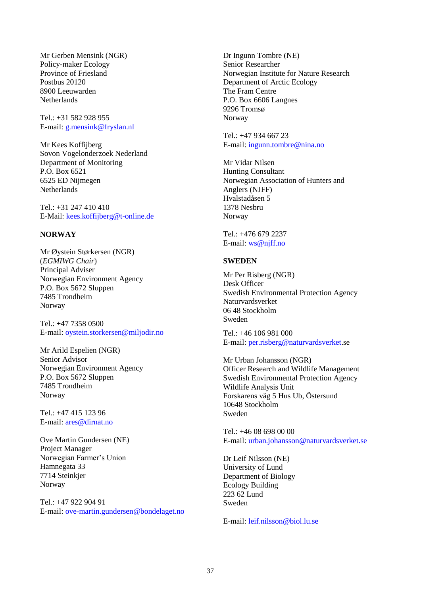Mr Gerben Mensink (NGR) Policy-maker Ecology Province of Friesland Postbus 20120 8900 Leeuwarden **Netherlands** 

 $Tel \cdot +31$  582 928 955 E-mail: [g.mensink@fryslan.nl](mailto:g.mensink@fryslan.nl)

Mr Kees Koffijberg Sovon Vogelonderzoek Nederland Department of Monitoring P.O. Box 6521 6525 ED Nijmegen **Netherlands** 

Tel.: +31 247 410 410 E-Mail: kees.koffijberg@t-online.de

#### **NORWAY**

Mr Øystein Størkersen (NGR) (*EGMIWG Chair*) Principal Adviser Norwegian Environment Agency P.O. Box 5672 Sluppen 7485 Trondheim Norway

Tel.: +47 7358 0500 E-mail: [oystein.storkersen@miljodir.no](mailto:oystein.storkersen@miljodir.no)

Mr Arild Espelien (NGR) Senior Advisor Norwegian Environment Agency P.O. Box 5672 Sluppen 7485 Trondheim Norway

Tel.: +47 415 123 96 E-mail: [ares@dirnat.no](mailto:ares@dirnat.no)

Ove Martin Gundersen (NE) Project Manager Norwegian Farmer's Union Hamnegata 33 7714 Steinkjer Norway

Tel.: +47 922 904 91 E-mail: ove-martin.gundersen@bondelaget.no Dr Ingunn Tombre (NE) Senior Researcher Norwegian Institute for Nature Research Department of Arctic Ecology The Fram Centre P.O. Box 6606 Langnes 9296 Tromsø Norway

Tel.: +47 934 667 23 E-mail: [ingunn.tombre@nina.no](mailto:ingunn.tombre@nina.no)

Mr Vidar Nilsen Hunting Consultant Norwegian Association of Hunters and Anglers (NJFF) Hvalstadåsen 5 1378 Nesbru Norway

Tel.: +476 679 2237 E-mail: ws@njff.no

#### **SWEDEN**

Mr Per Risberg (NGR) Desk Officer Swedish Environmental Protection Agency Naturvardsverket 06 48 Stockholm Sweden

Tel.: +46 106 981 000 E-mail: [per.risberg@naturvardsverket.se](mailto:per.risberg@naturvardsverket.se)

Mr Urban Johansson (NGR) Officer Research and Wildlife Management Swedish Environmental Protection Agency Wildlife Analysis Unit Forskarens väg 5 Hus Ub, Östersund 10648 Stockholm Sweden

Tel.: +46 08 698 00 00 E-mail: [urban.johansson@naturvardsverket.se](mailto:urban.johansson@naturvardsverket.se)

Dr Leif Nilsson (NE) University of Lund Department of Biology Ecology Building 223 62 Lund Sweden

E-mail: [leif.nilsson@biol.lu.se](mailto:leif.nilsson@biol.lu.se)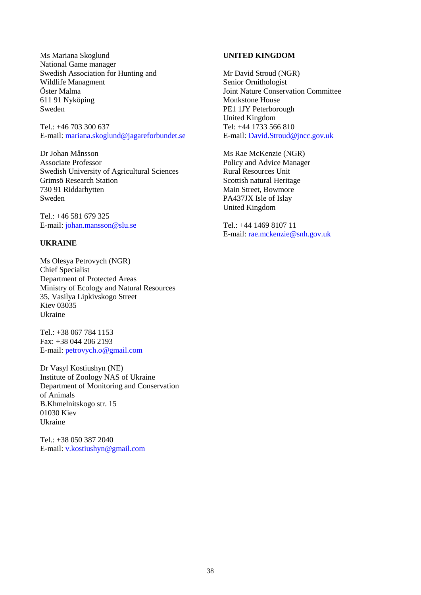Ms Mariana Skoglund National Game manager Swedish Association for Hunting and Wildlife Managment Öster Malma 611 91 Nyköping Sweden

Tel.: +46 703 300 637 E-mail: [mariana.skoglund@jagareforbundet.se](mailto:mariana.skoglund@jagareforbundet.se)

Dr Johan Månsson Associate Professor Swedish University of Agricultural Sciences Grimsö Research Station 730 91 Riddarhytten Sweden

Tel.: +46 581 679 325 E-mail: [johan.mansson@slu.se](mailto:johan.mansson@slu.se)

### **UKRAINE**

Ms Olesya Petrovych (NGR) Chief Specialist Department of Protected Areas Ministry of Ecology and Natural Resources 35, Vasilya Lipkivskogo Street Kiev 03035 Ukraine

Tel.: +38 067 784 1153 Fax: +38 044 206 2193 E-mail: [petrovych.o@gmail.com](mailto:petrovych.o@gmail.com)

Dr Vasyl Kostiushyn (NE) Institute of Zoology NAS of Ukraine Department of Monitoring and Conservation of Animals B.Khmelnitskogo str. 15 01030 Kiev Ukraine

Tel.: +38 050 387 2040 E-mail: [v.kostiushyn@gmail.com](mailto:v.kostiushyn@gmail.com)

### **UNITED KINGDOM**

Mr David Stroud (NGR) Senior Ornithologist Joint Nature Conservation Committee Monkstone House PE1 1JY Peterborough United Kingdom Tel: +44 1733 566 810 E-mail: David.Stroud@jncc.gov.uk

Ms Rae McKenzie (NGR) Policy and Advice Manager Rural Resources Unit Scottish natural Heritage Main Street, Bowmore PA437JX Isle of Islay United Kingdom

Tel.: +44 1469 8107 11 E-mail: rae.mckenzie@snh.gov.uk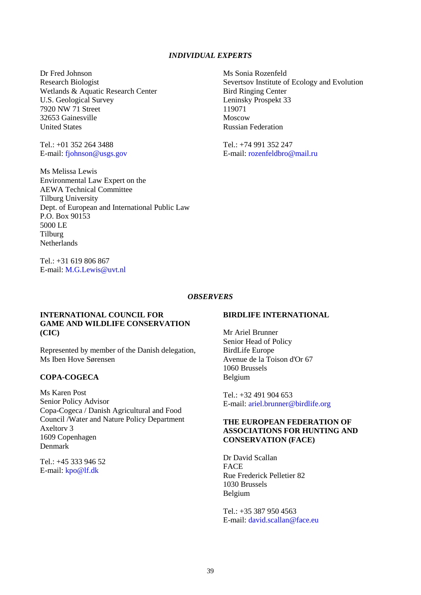### *INDIVIDUAL EXPERTS*

Dr Fred Johnson Research Biologist Wetlands & Aquatic Research Center U.S. Geological Survey 7920 NW 71 Street 32653 Gainesville United States

Tel.: +01 352 264 3488 E-mail: [fjohnson@usgs.gov](mailto:fjohnson@usgs.gov)

Ms Melissa Lewis Environmental Law Expert on the AEWA Technical Committee Tilburg University Dept. of European and International Public Law P.O. Box 90153 5000 LE Tilburg Netherlands

 $Tel + 31 619 806 867$ E-mail: M.G.Lewis@uvt.nl Ms Sonia Rozenfeld Severtsov Institute of Ecology and Evolution Bird Ringing Center Leninsky Prospekt 33 119071 Moscow Russian Federation

Tel.: +74 991 352 247 E-mail: rozenfeldbro@mail.ru

#### *OBSERVERS*

#### **INTERNATIONAL COUNCIL FOR GAME AND WILDLIFE CONSERVATION (CIC)**

Represented by member of the Danish delegation, Ms Iben Hove Sørensen

### **COPA-COGECA**

Ms Karen Post Senior Policy Advisor Copa-Cogeca / Danish Agricultural and Food Council /Water and Nature Policy Department Axeltorv 3 1609 Copenhagen Denmark

Tel.: +45 333 946 52 E-mail: [kpo@lf.dk](mailto:kpo@lf.dk)

#### **BIRDLIFE INTERNATIONAL**

Mr Ariel Brunner Senior Head of Policy BirdLife Europe Avenue de la Toison d'Or 67 1060 Brussels Belgium

Tel.: +32 491 904 653 E-mail: ariel.brunner@birdlife.org

### **THE EUROPEAN FEDERATION OF ASSOCIATIONS FOR HUNTING AND CONSERVATION (FACE)**

Dr David Scallan FACE Rue Frederick Pelletier 82 1030 Brussels Belgium

Tel.: +35 387 950 4563 E-mail: [david.scallan@face.eu](mailto:david.scallan@face.eu)